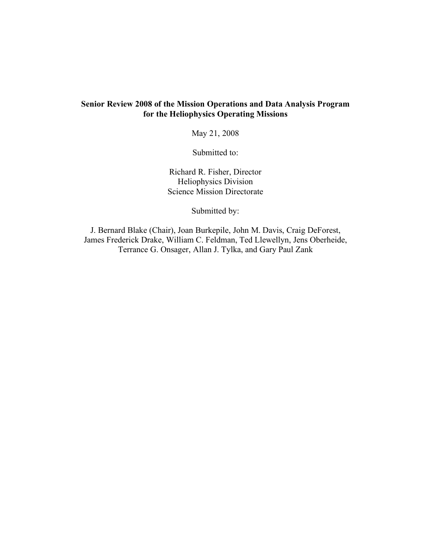#### **Senior Review 2008 of the Mission Operations and Data Analysis Program for the Heliophysics Operating Missions**

May 21, 2008

Submitted to:

Richard R. Fisher, Director Heliophysics Division Science Mission Directorate

Submitted by:

J. Bernard Blake (Chair), Joan Burkepile, John M. Davis, Craig DeForest, James Frederick Drake, William C. Feldman, Ted Llewellyn, Jens Oberheide, Terrance G. Onsager, Allan J. Tylka, and Gary Paul Zank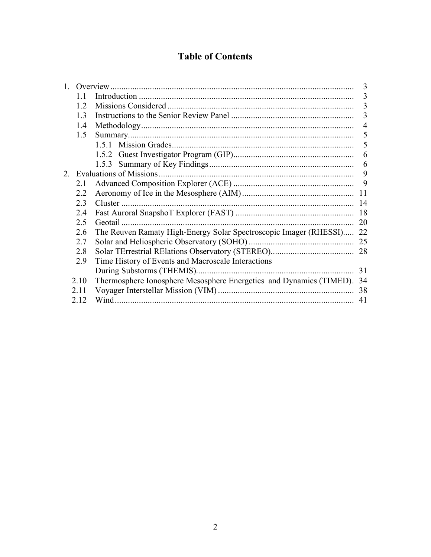# **Table of Contents**

|         |      |                                                                     | 3  |
|---------|------|---------------------------------------------------------------------|----|
|         |      |                                                                     | 3  |
|         | 1.2  |                                                                     | 3  |
|         | 1.3  |                                                                     | 3  |
|         | 1.4  |                                                                     | 4  |
|         | 1.5  |                                                                     |    |
|         |      |                                                                     | 5  |
|         |      |                                                                     | 6  |
|         |      | 1.5.3                                                               | 6  |
| $2_{-}$ |      | Evaluations of Missions.                                            | 9  |
|         | 2.1  |                                                                     | 9  |
|         | 22   |                                                                     | 11 |
|         | 23   |                                                                     | 14 |
|         | 24   |                                                                     | 18 |
|         | 2.5  | Geotail.                                                            | 20 |
|         | 2.6  | The Reuven Ramaty High-Energy Solar Spectroscopic Imager (RHESSI)   | 22 |
|         | 2.7  |                                                                     |    |
|         | 2.8  |                                                                     |    |
|         | 2.9  | Time History of Events and Macroscale Interactions                  |    |
|         |      |                                                                     | 31 |
|         | 2.10 | Thermosphere Ionosphere Mesosphere Energetics and Dynamics (TIMED). | 34 |
|         | 2.11 |                                                                     | 38 |
|         | 2.12 | Wind.                                                               | 41 |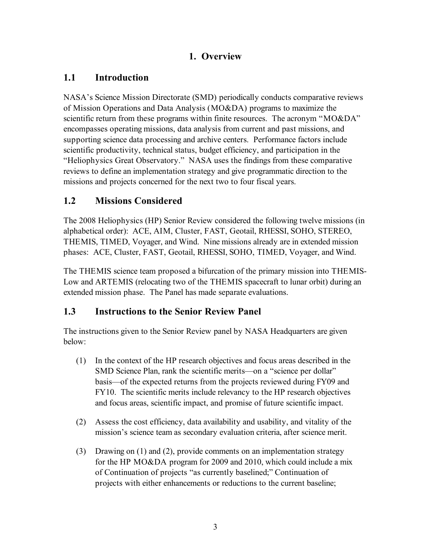# **1. Overview**

# **1.1 Introduction**

NASA's Science Mission Directorate (SMD) periodically conducts comparative reviews of Mission Operations and Data Analysis (MO&DA) programs to maximize the scientific return from these programs within finite resources. The acronym "MO&DA" encompasses operating missions, data analysis from current and past missions, and supporting science data processing and archive centers. Performance factors include scientific productivity, technical status, budget efficiency, and participation in the "Heliophysics Great Observatory." NASA uses the findings from these comparative reviews to define an implementation strategy and give programmatic direction to the missions and projects concerned for the next two to four fiscal years.

# **1.2 Missions Considered**

The 2008 Heliophysics (HP) Senior Review considered the following twelve missions (in alphabetical order): ACE, AIM, Cluster, FAST, Geotail, RHESSI, SOHO, STEREO, THEMIS, TIMED, Voyager, and Wind. Nine missions already are in extended mission phases: ACE, Cluster, FAST, Geotail, RHESSI, SOHO, TIMED, Voyager, and Wind.

The THEMIS science team proposed a bifurcation of the primary mission into THEMIS-Low and ARTEMIS (relocating two of the THEMIS spacecraft to lunar orbit) during an extended mission phase. The Panel has made separate evaluations.

# **1.3 Instructions to the Senior Review Panel**

The instructions given to the Senior Review panel by NASA Headquarters are given below:

- (1) In the context of the HP research objectives and focus areas described in the SMD Science Plan, rank the scientific merits—on a "science per dollar" basis—of the expected returns from the projects reviewed during FY09 and FY10. The scientific merits include relevancy to the HP research objectives and focus areas, scientific impact, and promise of future scientific impact.
- (2) Assess the cost efficiency, data availability and usability, and vitality of the mission's science team as secondary evaluation criteria, after science merit.
- (3) Drawing on (1) and (2), provide comments on an implementation strategy for the HP MO&DA program for 2009 and 2010, which could include a mix of Continuation of projects "as currently baselined;" Continuation of projects with either enhancements or reductions to the current baseline;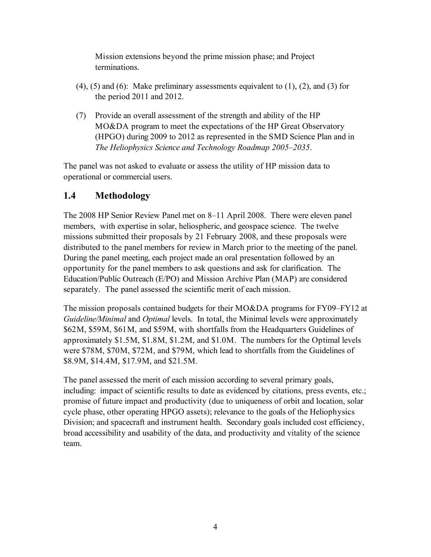Mission extensions beyond the prime mission phase; and Project terminations.

- (4), (5) and (6): Make preliminary assessments equivalent to (1), (2), and (3) for the period 2011 and 2012.
- (7) Provide an overall assessment of the strength and ability of the HP MO&DA program to meet the expectations of the HP Great Observatory (HPGO) during 2009 to 2012 as represented in the SMD Science Plan and in *The Heliophysics Science and Technology Roadmap 2005–2035*.

The panel was not asked to evaluate or assess the utility of HP mission data to operational or commercial users.

# **1.4 Methodology**

The 2008 HP Senior Review Panel met on 8–11 April 2008. There were eleven panel members, with expertise in solar, heliospheric, and geospace science. The twelve missions submitted their proposals by 21 February 2008, and these proposals were distributed to the panel members for review in March prior to the meeting of the panel. During the panel meeting, each project made an oral presentation followed by an opportunity for the panel members to ask questions and ask for clarification. The Education/Public Outreach (E/PO) and Mission Archive Plan (MAP) are considered separately. The panel assessed the scientific merit of each mission.

The mission proposals contained budgets for their MO&DA programs for FY09–FY12 at *Guideline/Minimal* and *Optimal* levels. In total, the Minimal levels were approximately \$62M, \$59M, \$61M, and \$59M, with shortfalls from the Headquarters Guidelines of approximately \$1.5M, \$1.8M, \$1.2M, and \$1.0M. The numbers for the Optimal levels were \$78M, \$70M, \$72M, and \$79M, which lead to shortfalls from the Guidelines of \$8.9M, \$14.4M, \$17.9M, and \$21.5M.

The panel assessed the merit of each mission according to several primary goals, including: impact of scientific results to date as evidenced by citations, press events, etc.; promise of future impact and productivity (due to uniqueness of orbit and location, solar cycle phase, other operating HPGO assets); relevance to the goals of the Heliophysics Division; and spacecraft and instrument health. Secondary goals included cost efficiency, broad accessibility and usability of the data, and productivity and vitality of the science team.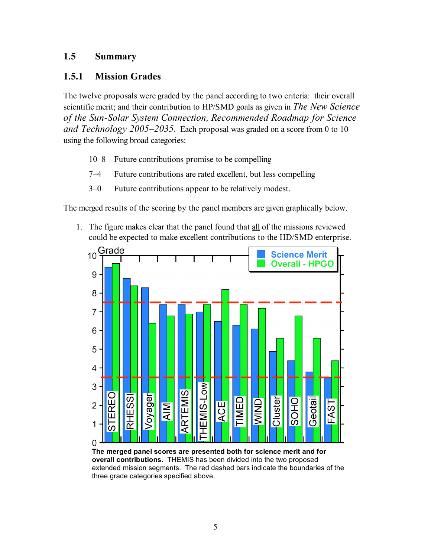## **1.5 Summary**

## **1.5.1 Mission Grades**

The twelve proposals were graded by the panel according to two criteria: their overall scientific merit; and their contribution to HP/SMD goals as given in *The New Science of the Sun-Solar System Connection, Recommended Roadmap for Science and Technology 2005–2035*. Each proposal was graded on a score from 0 to 10 using the following broad categories:

- 10–8 Future contributions promise to be compelling
- 7–4 Future contributions are rated excellent, but less compelling
- 3–0 Future contributions appear to be relatively modest.

The merged results of the scoring by the panel members are given graphically below.

1. The figure makes clear that the panel found that all of the missions reviewed could be expected to make excellent contributions to the HD/SMD enterprise.



**The merged panel scores are presented both for science merit and for overall contributions.** THEMIS has been divided into the two proposed extended mission segments. The red dashed bars indicate the boundaries of the three grade categories specified above.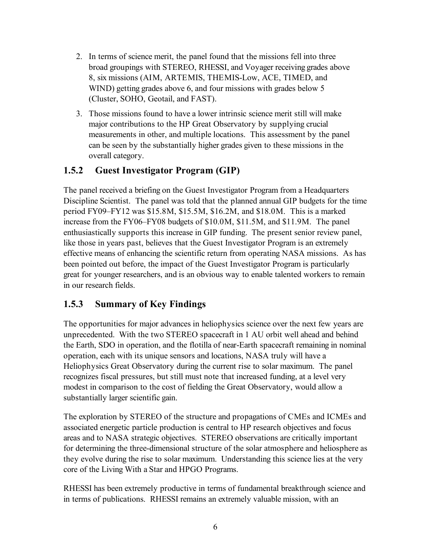- 2. In terms of science merit, the panel found that the missions fell into three broad groupings with STEREO, RHESSI, and Voyager receiving grades above 8, six missions (AIM, ARTEMIS, THEMIS-Low, ACE, TIMED, and WIND) getting grades above 6, and four missions with grades below 5 (Cluster, SOHO, Geotail, and FAST).
- 3. Those missions found to have a lower intrinsic science merit still will make major contributions to the HP Great Observatory by supplying crucial measurements in other, and multiple locations. This assessment by the panel can be seen by the substantially higher grades given to these missions in the overall category.

# **1.5.2 Guest Investigator Program (GIP)**

The panel received a briefing on the Guest Investigator Program from a Headquarters Discipline Scientist. The panel was told that the planned annual GIP budgets for the time period FY09–FY12 was \$15.8M, \$15.5M, \$16.2M, and \$18.0M. This is a marked increase from the FY06–FY08 budgets of \$10.0M, \$11.5M, and \$11.9M. The panel enthusiastically supports this increase in GIP funding. The present senior review panel, like those in years past, believes that the Guest Investigator Program is an extremely effective means of enhancing the scientific return from operating NASA missions. As has been pointed out before, the impact of the Guest Investigator Program is particularly great for younger researchers, and is an obvious way to enable talented workers to remain in our research fields.

## **1.5.3 Summary of Key Findings**

The opportunities for major advances in heliophysics science over the next few years are unprecedented. With the two STEREO spacecraft in 1 AU orbit well ahead and behind the Earth, SDO in operation, and the flotilla of near-Earth spacecraft remaining in nominal operation, each with its unique sensors and locations, NASA truly will have a Heliophysics Great Observatory during the current rise to solar maximum. The panel recognizes fiscal pressures, but still must note that increased funding, at a level very modest in comparison to the cost of fielding the Great Observatory, would allow a substantially larger scientific gain.

The exploration by STEREO of the structure and propagations of CMEs and ICMEs and associated energetic particle production is central to HP research objectives and focus areas and to NASA strategic objectives. STEREO observations are critically important for determining the three-dimensional structure of the solar atmosphere and heliosphere as they evolve during the rise to solar maximum. Understanding this science lies at the very core of the Living With a Star and HPGO Programs.

RHESSI has been extremely productive in terms of fundamental breakthrough science and in terms of publications. RHESSI remains an extremely valuable mission, with an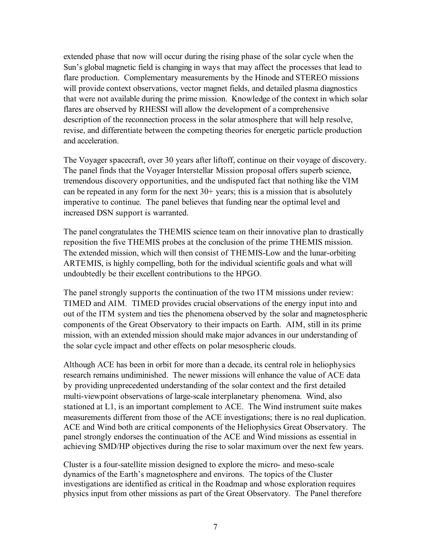extended phase that now will occur during the rising phase of the solar cycle when the Sun's global magnetic field is changing in ways that may affect the processes that lead to flare production. Complementary measurements by the Hinode and STEREO missions will provide context observations, vector magnet fields, and detailed plasma diagnostics that were not available during the prime mission. Knowledge of the context in which solar flares are observed by RHESSI will allow the development of a comprehensive description of the reconnection process in the solar atmosphere that will help resolve, revise, and differentiate between the competing theories for energetic particle production and acceleration.

The Voyager spacecraft, over 30 years after liftoff, continue on their voyage of discovery. The panel finds that the Voyager Interstellar Mission proposal offers superb science, tremendous discovery opportunities, and the undisputed fact that nothing like the VIM can be repeated in any form for the next  $30+$  years; this is a mission that is absolutely imperative to continue. The panel believes that funding near the optimal level and increased DSN support is warranted.

The panel congratulates the THEMIS science team on their innovative plan to drastically reposition the five THEMIS probes at the conclusion of the prime THEMIS mission. The extended mission, which will then consist of THEMIS-Low and the lunar-orbiting ARTEMIS, is highly compelling, both for the individual scientific goals and what will undoubtedly be their excellent contributions to the HPGO.

The panel strongly supports the continuation of the two ITM missions under review: TIMED and AIM. TIMED provides crucial observations of the energy input into and out of the ITM system and ties the phenomena observed by the solar and magnetospheric components of the Great Observatory to their impacts on Earth. AIM, still in its prime mission, with an extended mission should make major advances in our understanding of the solar cycle impact and other effects on polar mesospheric clouds.

Although ACE has been in orbit for more than a decade, its central role in heliophysics research remains undiminished. The newer missions will enhance the value of ACE data by providing unprecedented understanding of the solar context and the first detailed multi-viewpoint observations of large-scale interplanetary phenomena. Wind, also stationed at L1, is an important complement to ACE. The Wind instrument suite makes measurements different from those of the ACE investigations; there is no real duplication. ACE and Wind both are critical components of the Heliophysics Great Observatory. The panel strongly endorses the continuation of the ACE and Wind missions as essential in achieving SMD/HP objectives during the rise to solar maximum over the next few years.

Cluster is a four-satellite mission designed to explore the micro- and meso-scale dynamics of the Earth's magnetosphere and environs. The topics of the Cluster investigations are identified as critical in the Roadmap and whose exploration requires physics input from other missions as part of the Great Observatory. The Panel therefore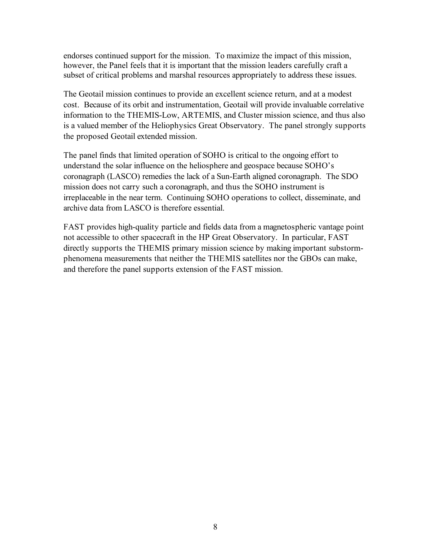endorses continued support for the mission. To maximize the impact of this mission, however, the Panel feels that it is important that the mission leaders carefully craft a subset of critical problems and marshal resources appropriately to address these issues.

The Geotail mission continues to provide an excellent science return, and at a modest cost. Because of its orbit and instrumentation, Geotail will provide invaluable correlative information to the THEMIS-Low, ARTEMIS, and Cluster mission science, and thus also is a valued member of the Heliophysics Great Observatory. The panel strongly supports the proposed Geotail extended mission.

The panel finds that limited operation of SOHO is critical to the ongoing effort to understand the solar influence on the heliosphere and geospace because SOHO's coronagraph (LASCO) remedies the lack of a Sun-Earth aligned coronagraph. The SDO mission does not carry such a coronagraph, and thus the SOHO instrument is irreplaceable in the near term. Continuing SOHO operations to collect, disseminate, and archive data from LASCO is therefore essential.

FAST provides high-quality particle and fields data from a magnetospheric vantage point not accessible to other spacecraft in the HP Great Observatory. In particular, FAST directly supports the THEMIS primary mission science by making important substormphenomena measurements that neither the THEMIS satellites nor the GBOs can make, and therefore the panel supports extension of the FAST mission.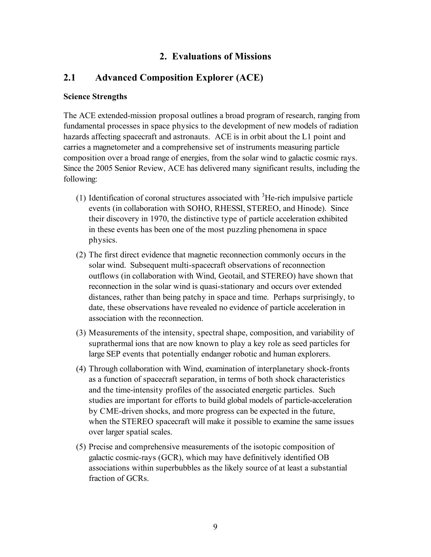## **2. Evaluations of Missions**

## **2.1 Advanced Composition Explorer (ACE)**

#### **Science Strengths**

The ACE extended-mission proposal outlines a broad program of research, ranging from fundamental processes in space physics to the development of new models of radiation hazards affecting spacecraft and astronauts. ACE is in orbit about the L1 point and carries a magnetometer and a comprehensive set of instruments measuring particle composition over a broad range of energies, from the solar wind to galactic cosmic rays. Since the 2005 Senior Review, ACE has delivered many significant results, including the following:

- (1) Identification of coronal structures associated with  ${}^{3}$ He-rich impulsive particle events (in collaboration with SOHO, RHESSI, STEREO, and Hinode). Since their discovery in 1970, the distinctive type of particle acceleration exhibited in these events has been one of the most puzzling phenomena in space physics.
- (2) The first direct evidence that magnetic reconnection commonly occurs in the solar wind. Subsequent multi-spacecraft observations of reconnection outflows (in collaboration with Wind, Geotail, and STEREO) have shown that reconnection in the solar wind is quasi-stationary and occurs over extended distances, rather than being patchy in space and time. Perhaps surprisingly, to date, these observations have revealed no evidence of particle acceleration in association with the reconnection.
- (3) Measurements of the intensity, spectral shape, composition, and variability of suprathermal ions that are now known to play a key role as seed particles for large SEP events that potentially endanger robotic and human explorers.
- (4) Through collaboration with Wind, examination of interplanetary shock-fronts as a function of spacecraft separation, in terms of both shock characteristics and the time-intensity profiles of the associated energetic particles. Such studies are important for efforts to build global models of particle-acceleration by CME-driven shocks, and more progress can be expected in the future, when the STEREO spacecraft will make it possible to examine the same issues over larger spatial scales.
- (5) Precise and comprehensive measurements of the isotopic composition of galactic cosmic-rays (GCR), which may have definitively identified OB associations within superbubbles as the likely source of at least a substantial fraction of GCRs.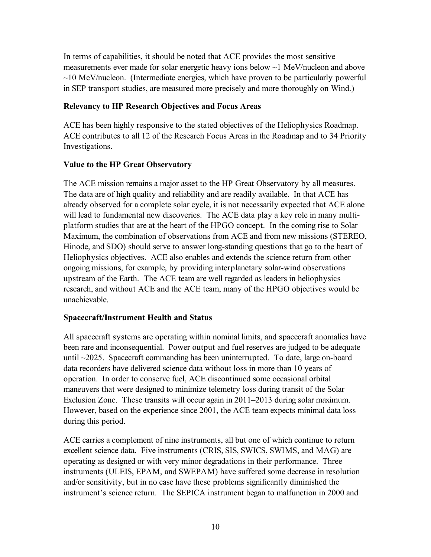In terms of capabilities, it should be noted that ACE provides the most sensitive measurements ever made for solar energetic heavy ions below ~1 MeV/nucleon and above  $\sim$ 10 MeV/nucleon. (Intermediate energies, which have proven to be particularly powerful in SEP transport studies, are measured more precisely and more thoroughly on Wind.)

## **Relevancy to HP Research Objectives and Focus Areas**

ACE has been highly responsive to the stated objectives of the Heliophysics Roadmap. ACE contributes to all 12 of the Research Focus Areas in the Roadmap and to 34 Priority Investigations.

## **Value to the HP Great Observatory**

The ACE mission remains a major asset to the HP Great Observatory by all measures. The data are of high quality and reliability and are readily available. In that ACE has already observed for a complete solar cycle, it is not necessarily expected that ACE alone will lead to fundamental new discoveries. The ACE data play a key role in many multiplatform studies that are at the heart of the HPGO concept. In the coming rise to Solar Maximum, the combination of observations from ACE and from new missions (STEREO, Hinode, and SDO) should serve to answer long-standing questions that go to the heart of Heliophysics objectives. ACE also enables and extends the science return from other ongoing missions, for example, by providing interplanetary solar-wind observations upstream of the Earth. The ACE team are well regarded as leaders in heliophysics research, and without ACE and the ACE team, many of the HPGO objectives would be unachievable.

#### **Spacecraft/Instrument Health and Status**

All spacecraft systems are operating within nominal limits, and spacecraft anomalies have been rare and inconsequential. Power output and fuel reserves are judged to be adequate until ~2025. Spacecraft commanding has been uninterrupted. To date, large on-board data recorders have delivered science data without loss in more than 10 years of operation. In order to conserve fuel, ACE discontinued some occasional orbital maneuvers that were designed to minimize telemetry loss during transit of the Solar Exclusion Zone. These transits will occur again in 2011–2013 during solar maximum. However, based on the experience since 2001, the ACE team expects minimal data loss during this period.

ACE carries a complement of nine instruments, all but one of which continue to return excellent science data. Five instruments (CRIS, SIS, SWICS, SWIMS, and MAG) are operating as designed or with very minor degradations in their performance. Three instruments (ULEIS, EPAM, and SWEPAM) have suffered some decrease in resolution and/or sensitivity, but in no case have these problems significantly diminished the instrument's science return. The SEPICA instrument began to malfunction in 2000 and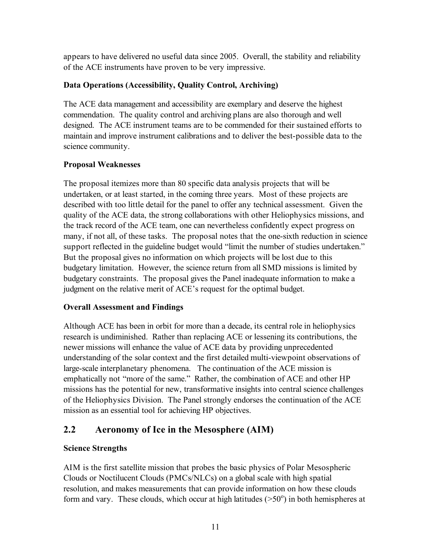appears to have delivered no useful data since 2005. Overall, the stability and reliability of the ACE instruments have proven to be very impressive.

## **Data Operations (Accessibility, Quality Control, Archiving)**

The ACE data management and accessibility are exemplary and deserve the highest commendation. The quality control and archiving plans are also thorough and well designed. The ACE instrument teams are to be commended for their sustained efforts to maintain and improve instrument calibrations and to deliver the best-possible data to the science community.

## **Proposal Weaknesses**

The proposal itemizes more than 80 specific data analysis projects that will be undertaken, or at least started, in the coming three years. Most of these projects are described with too little detail for the panel to offer any technical assessment. Given the quality of the ACE data, the strong collaborations with other Heliophysics missions, and the track record of the ACE team, one can nevertheless confidently expect progress on many, if not all, of these tasks. The proposal notes that the one-sixth reduction in science support reflected in the guideline budget would "limit the number of studies undertaken." But the proposal gives no information on which projects will be lost due to this budgetary limitation. However, the science return from all SMD missions is limited by budgetary constraints. The proposal gives the Panel inadequate information to make a judgment on the relative merit of ACE's request for the optimal budget.

## **Overall Assessment and Findings**

Although ACE has been in orbit for more than a decade, its central role in heliophysics research is undiminished. Rather than replacing ACE or lessening its contributions, the newer missions will enhance the value of ACE data by providing unprecedented understanding of the solar context and the first detailed multi-viewpoint observations of large-scale interplanetary phenomena. The continuation of the ACE mission is emphatically not "more of the same." Rather, the combination of ACE and other HP missions has the potential for new, transformative insights into central science challenges of the Heliophysics Division. The Panel strongly endorses the continuation of the ACE mission as an essential tool for achieving HP objectives.

# **2.2 Aeronomy of Ice in the Mesosphere (AIM)**

## **Science Strengths**

AIM is the first satellite mission that probes the basic physics of Polar Mesospheric Clouds or Noctilucent Clouds (PMCs/NLCs) on a global scale with high spatial resolution, and makes measurements that can provide information on how these clouds form and vary. These clouds, which occur at high latitudes  $(>50^{\circ})$  in both hemispheres at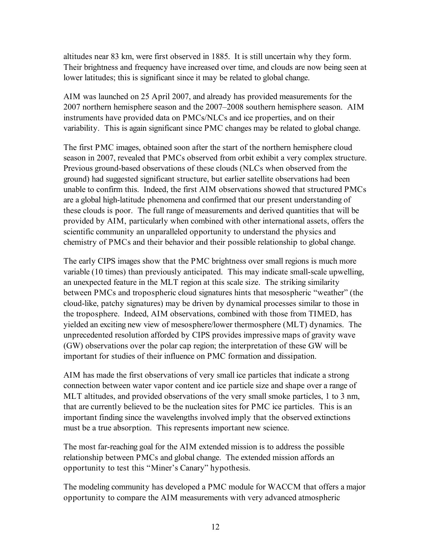altitudes near 83 km, were first observed in 1885. It is still uncertain why they form. Their brightness and frequency have increased over time, and clouds are now being seen at lower latitudes; this is significant since it may be related to global change.

AIM was launched on 25 April 2007, and already has provided measurements for the 2007 northern hemisphere season and the 2007–2008 southern hemisphere season. AIM instruments have provided data on PMCs/NLCs and ice properties, and on their variability. This is again significant since PMC changes may be related to global change.

The first PMC images, obtained soon after the start of the northern hemisphere cloud season in 2007, revealed that PMCs observed from orbit exhibit a very complex structure. Previous ground-based observations of these clouds (NLCs when observed from the ground) had suggested significant structure, but earlier satellite observations had been unable to confirm this. Indeed, the first AIM observations showed that structured PMCs are a global high-latitude phenomena and confirmed that our present understanding of these clouds is poor. The full range of measurements and derived quantities that will be provided by AIM, particularly when combined with other international assets, offers the scientific community an unparalleled opportunity to understand the physics and chemistry of PMCs and their behavior and their possible relationship to global change.

The early CIPS images show that the PMC brightness over small regions is much more variable (10 times) than previously anticipated. This may indicate small-scale upwelling, an unexpected feature in the MLT region at this scale size. The striking similarity between PMCs and tropospheric cloud signatures hints that mesospheric "weather" (the cloud-like, patchy signatures) may be driven by dynamical processes similar to those in the troposphere. Indeed, AIM observations, combined with those from TIMED, has yielded an exciting new view of mesosphere/lower thermosphere (MLT) dynamics. The unprecedented resolution afforded by CIPS provides impressive maps of gravity wave (GW) observations over the polar cap region; the interpretation of these GW will be important for studies of their influence on PMC formation and dissipation.

AIM has made the first observations of very small ice particles that indicate a strong connection between water vapor content and ice particle size and shape over a range of MLT altitudes, and provided observations of the very small smoke particles, 1 to 3 nm, that are currently believed to be the nucleation sites for PMC ice particles. This is an important finding since the wavelengths involved imply that the observed extinctions must be a true absorption. This represents important new science.

The most far-reaching goal for the AIM extended mission is to address the possible relationship between PMCs and global change. The extended mission affords an opportunity to test this "Miner's Canary" hypothesis.

The modeling community has developed a PMC module for WACCM that offers a major opportunity to compare the AIM measurements with very advanced atmospheric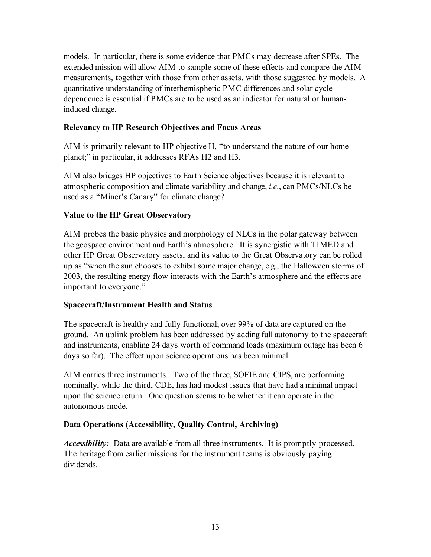models. In particular, there is some evidence that PMCs may decrease after SPEs. The extended mission will allow AIM to sample some of these effects and compare the AIM measurements, together with those from other assets, with those suggested by models. A quantitative understanding of interhemispheric PMC differences and solar cycle dependence is essential if PMCs are to be used as an indicator for natural or humaninduced change.

## **Relevancy to HP Research Objectives and Focus Areas**

AIM is primarily relevant to HP objective H, "to understand the nature of our home planet;" in particular, it addresses RFAs H2 and H3.

AIM also bridges HP objectives to Earth Science objectives because it is relevant to atmospheric composition and climate variability and change, *i.e*., can PMCs/NLCs be used as a "Miner's Canary" for climate change?

## **Value to the HP Great Observatory**

AIM probes the basic physics and morphology of NLCs in the polar gateway between the geospace environment and Earth's atmosphere. It is synergistic with TIMED and other HP Great Observatory assets, and its value to the Great Observatory can be rolled up as "when the sun chooses to exhibit some major change, e.g., the Halloween storms of 2003, the resulting energy flow interacts with the Earth's atmosphere and the effects are important to everyone."

#### **Spacecraft/Instrument Health and Status**

The spacecraft is healthy and fully functional; over 99% of data are captured on the ground. An uplink problem has been addressed by adding full autonomy to the spacecraft and instruments, enabling 24 days worth of command loads (maximum outage has been 6 days so far). The effect upon science operations has been minimal.

AIM carries three instruments. Two of the three, SOFIE and CIPS, are performing nominally, while the third, CDE, has had modest issues that have had a minimal impact upon the science return. One question seems to be whether it can operate in the autonomous mode.

#### **Data Operations (Accessibility, Quality Control, Archiving)**

*Accessibility:* Data are available from all three instruments. It is promptly processed. The heritage from earlier missions for the instrument teams is obviously paying dividends.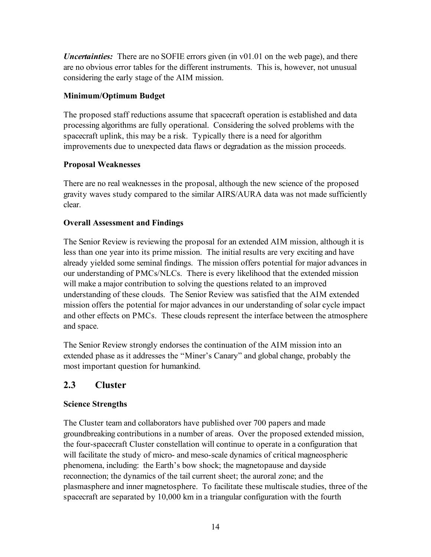*Uncertainties:* There are no SOFIE errors given (in v01.01 on the web page), and there are no obvious error tables for the different instruments. This is, however, not unusual considering the early stage of the AIM mission.

## **Minimum/Optimum Budget**

The proposed staff reductions assume that spacecraft operation is established and data processing algorithms are fully operational. Considering the solved problems with the spacecraft uplink, this may be a risk. Typically there is a need for algorithm improvements due to unexpected data flaws or degradation as the mission proceeds.

## **Proposal Weaknesses**

There are no real weaknesses in the proposal, although the new science of the proposed gravity waves study compared to the similar AIRS/AURA data was not made sufficiently clear.

## **Overall Assessment and Findings**

The Senior Review is reviewing the proposal for an extended AIM mission, although it is less than one year into its prime mission. The initial results are very exciting and have already yielded some seminal findings. The mission offers potential for major advances in our understanding of PMCs/NLCs. There is every likelihood that the extended mission will make a major contribution to solving the questions related to an improved understanding of these clouds. The Senior Review was satisfied that the AIM extended mission offers the potential for major advances in our understanding of solar cycle impact and other effects on PMCs. These clouds represent the interface between the atmosphere and space.

The Senior Review strongly endorses the continuation of the AIM mission into an extended phase as it addresses the "Miner's Canary" and global change, probably the most important question for humankind.

# **2.3 Cluster**

## **Science Strengths**

The Cluster team and collaborators have published over 700 papers and made groundbreaking contributions in a number of areas. Over the proposed extended mission, the four-spacecraft Cluster constellation will continue to operate in a configuration that will facilitate the study of micro- and meso-scale dynamics of critical magneospheric phenomena, including: the Earth's bow shock; the magnetopause and dayside reconnection; the dynamics of the tail current sheet; the auroral zone; and the plasmasphere and inner magnetosphere. To facilitate these multiscale studies, three of the spacecraft are separated by 10,000 km in a triangular configuration with the fourth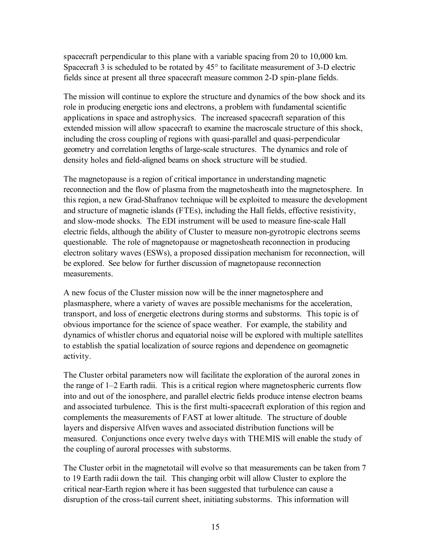spacecraft perpendicular to this plane with a variable spacing from 20 to 10,000 km. Spacecraft 3 is scheduled to be rotated by 45° to facilitate measurement of 3-D electric fields since at present all three spacecraft measure common 2-D spin-plane fields.

The mission will continue to explore the structure and dynamics of the bow shock and its role in producing energetic ions and electrons, a problem with fundamental scientific applications in space and astrophysics. The increased spacecraft separation of this extended mission will allow spacecraft to examine the macroscale structure of this shock, including the cross coupling of regions with quasi-parallel and quasi-perpendicular geometry and correlation lengths of large-scale structures. The dynamics and role of density holes and field-aligned beams on shock structure will be studied.

The magnetopause is a region of critical importance in understanding magnetic reconnection and the flow of plasma from the magnetosheath into the magnetosphere. In this region, a new Grad-Shafranov technique will be exploited to measure the development and structure of magnetic islands (FTEs), including the Hall fields, effective resistivity, and slow-mode shocks. The EDI instrument will be used to measure fine-scale Hall electric fields, although the ability of Cluster to measure non-gyrotropic electrons seems questionable. The role of magnetopause or magnetosheath reconnection in producing electron solitary waves (ESWs), a proposed dissipation mechanism for reconnection, will be explored. See below for further discussion of magnetopause reconnection measurements.

A new focus of the Cluster mission now will be the inner magnetosphere and plasmasphere, where a variety of waves are possible mechanisms for the acceleration, transport, and loss of energetic electrons during storms and substorms. This topic is of obvious importance for the science of space weather. For example, the stability and dynamics of whistler chorus and equatorial noise will be explored with multiple satellites to establish the spatial localization of source regions and dependence on geomagnetic activity.

The Cluster orbital parameters now will facilitate the exploration of the auroral zones in the range of 1–2 Earth radii. This is a critical region where magnetospheric currents flow into and out of the ionosphere, and parallel electric fields produce intense electron beams and associated turbulence. This is the first multi-spacecraft exploration of this region and complements the measurements of FAST at lower altitude. The structure of double layers and dispersive Alfven waves and associated distribution functions will be measured. Conjunctions once every twelve days with THEMIS will enable the study of the coupling of auroral processes with substorms.

The Cluster orbit in the magnetotail will evolve so that measurements can be taken from 7 to 19 Earth radii down the tail. This changing orbit will allow Cluster to explore the critical near-Earth region where it has been suggested that turbulence can cause a disruption of the cross-tail current sheet, initiating substorms. This information will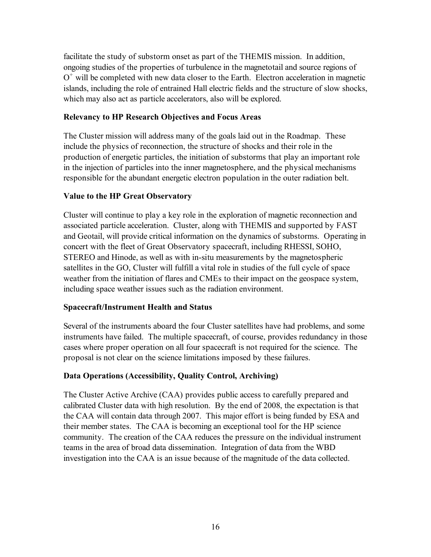facilitate the study of substorm onset as part of the THEMIS mission. In addition, ongoing studies of the properties of turbulence in the magnetotail and source regions of  $O<sup>+</sup>$  will be completed with new data closer to the Earth. Electron acceleration in magnetic islands, including the role of entrained Hall electric fields and the structure of slow shocks, which may also act as particle accelerators, also will be explored.

#### **Relevancy to HP Research Objectives and Focus Areas**

The Cluster mission will address many of the goals laid out in the Roadmap. These include the physics of reconnection, the structure of shocks and their role in the production of energetic particles, the initiation of substorms that play an important role in the injection of particles into the inner magnetosphere, and the physical mechanisms responsible for the abundant energetic electron population in the outer radiation belt.

## **Value to the HP Great Observatory**

Cluster will continue to play a key role in the exploration of magnetic reconnection and associated particle acceleration. Cluster, along with THEMIS and supported by FAST and Geotail, will provide critical information on the dynamics of substorms. Operating in concert with the fleet of Great Observatory spacecraft, including RHESSI, SOHO, STEREO and Hinode, as well as with in-situ measurements by the magnetospheric satellites in the GO, Cluster will fulfill a vital role in studies of the full cycle of space weather from the initiation of flares and CMEs to their impact on the geospace system, including space weather issues such as the radiation environment.

#### **Spacecraft/Instrument Health and Status**

Several of the instruments aboard the four Cluster satellites have had problems, and some instruments have failed. The multiple spacecraft, of course, provides redundancy in those cases where proper operation on all four spacecraft is not required for the science. The proposal is not clear on the science limitations imposed by these failures.

## **Data Operations (Accessibility, Quality Control, Archiving)**

The Cluster Active Archive (CAA) provides public access to carefully prepared and calibrated Cluster data with high resolution. By the end of 2008, the expectation is that the CAA will contain data through 2007. This major effort is being funded by ESA and their member states. The CAA is becoming an exceptional tool for the HP science community. The creation of the CAA reduces the pressure on the individual instrument teams in the area of broad data dissemination. Integration of data from the WBD investigation into the CAA is an issue because of the magnitude of the data collected.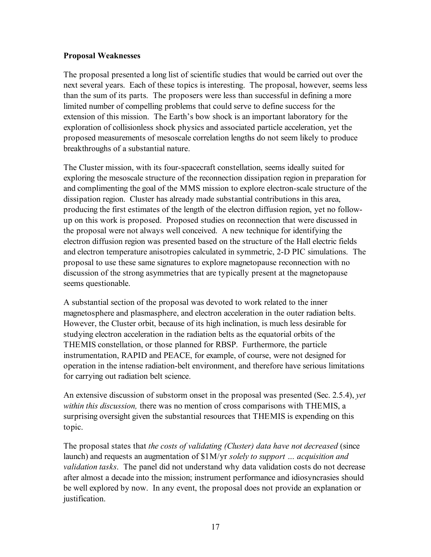#### **Proposal Weaknesses**

The proposal presented a long list of scientific studies that would be carried out over the next several years. Each of these topics is interesting. The proposal, however, seems less than the sum of its parts. The proposers were less than successful in defining a more limited number of compelling problems that could serve to define success for the extension of this mission. The Earth's bow shock is an important laboratory for the exploration of collisionless shock physics and associated particle acceleration, yet the proposed measurements of mesoscale correlation lengths do not seem likely to produce breakthroughs of a substantial nature.

The Cluster mission, with its four-spacecraft constellation, seems ideally suited for exploring the mesoscale structure of the reconnection dissipation region in preparation for and complimenting the goal of the MMS mission to explore electron-scale structure of the dissipation region. Cluster has already made substantial contributions in this area, producing the first estimates of the length of the electron diffusion region, yet no followup on this work is proposed. Proposed studies on reconnection that were discussed in the proposal were not always well conceived. A new technique for identifying the electron diffusion region was presented based on the structure of the Hall electric fields and electron temperature anisotropies calculated in symmetric, 2-D PIC simulations. The proposal to use these same signatures to explore magnetopause reconnection with no discussion of the strong asymmetries that are typically present at the magnetopause seems questionable.

A substantial section of the proposal was devoted to work related to the inner magnetosphere and plasmasphere, and electron acceleration in the outer radiation belts. However, the Cluster orbit, because of its high inclination, is much less desirable for studying electron acceleration in the radiation belts as the equatorial orbits of the THEMIS constellation, or those planned for RBSP. Furthermore, the particle instrumentation, RAPID and PEACE, for example, of course, were not designed for operation in the intense radiation-belt environment, and therefore have serious limitations for carrying out radiation belt science.

An extensive discussion of substorm onset in the proposal was presented (Sec. 2.5.4), *yet within this discussion,* there was no mention of cross comparisons with THEMIS, a surprising oversight given the substantial resources that THEMIS is expending on this topic.

The proposal states that *the costs of validating (Cluster) data have not decreased* (since launch) and requests an augmentation of \$1M/yr *solely to support … acquisition and validation tasks*. The panel did not understand why data validation costs do not decrease after almost a decade into the mission; instrument performance and idiosyncrasies should be well explored by now. In any event, the proposal does not provide an explanation or justification.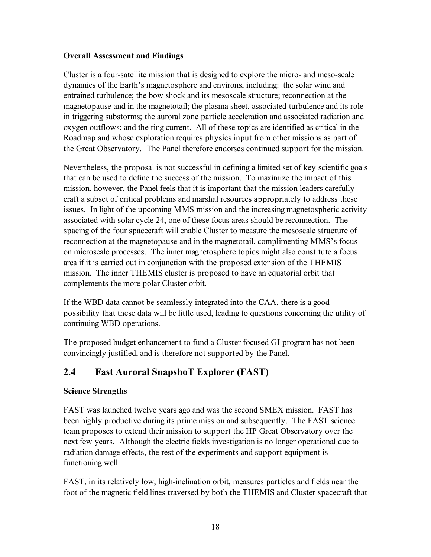#### **Overall Assessment and Findings**

Cluster is a four-satellite mission that is designed to explore the micro- and meso-scale dynamics of the Earth's magnetosphere and environs, including: the solar wind and entrained turbulence; the bow shock and its mesoscale structure; reconnection at the magnetopause and in the magnetotail; the plasma sheet, associated turbulence and its role in triggering substorms; the auroral zone particle acceleration and associated radiation and oxygen outflows; and the ring current. All of these topics are identified as critical in the Roadmap and whose exploration requires physics input from other missions as part of the Great Observatory. The Panel therefore endorses continued support for the mission.

Nevertheless, the proposal is not successful in defining a limited set of key scientific goals that can be used to define the success of the mission. To maximize the impact of this mission, however, the Panel feels that it is important that the mission leaders carefully craft a subset of critical problems and marshal resources appropriately to address these issues. In light of the upcoming MMS mission and the increasing magnetospheric activity associated with solar cycle 24, one of these focus areas should be reconnection. The spacing of the four spacecraft will enable Cluster to measure the mesoscale structure of reconnection at the magnetopause and in the magnetotail, complimenting MMS's focus on microscale processes. The inner magnetosphere topics might also constitute a focus area if it is carried out in conjunction with the proposed extension of the THEMIS mission. The inner THEMIS cluster is proposed to have an equatorial orbit that complements the more polar Cluster orbit.

If the WBD data cannot be seamlessly integrated into the CAA, there is a good possibility that these data will be little used, leading to questions concerning the utility of continuing WBD operations.

The proposed budget enhancement to fund a Cluster focused GI program has not been convincingly justified, and is therefore not supported by the Panel.

# **2.4 Fast Auroral SnapshoT Explorer (FAST)**

## **Science Strengths**

FAST was launched twelve years ago and was the second SMEX mission. FAST has been highly productive during its prime mission and subsequently. The FAST science team proposes to extend their mission to support the HP Great Observatory over the next few years. Although the electric fields investigation is no longer operational due to radiation damage effects, the rest of the experiments and support equipment is functioning well.

FAST, in its relatively low, high-inclination orbit, measures particles and fields near the foot of the magnetic field lines traversed by both the THEMIS and Cluster spacecraft that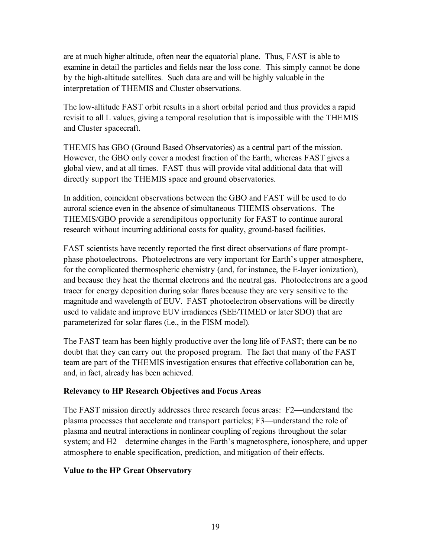are at much higher altitude, often near the equatorial plane. Thus, FAST is able to examine in detail the particles and fields near the loss cone. This simply cannot be done by the high-altitude satellites. Such data are and will be highly valuable in the interpretation of THEMIS and Cluster observations.

The low-altitude FAST orbit results in a short orbital period and thus provides a rapid revisit to all L values, giving a temporal resolution that is impossible with the THEMIS and Cluster spacecraft.

THEMIS has GBO (Ground Based Observatories) as a central part of the mission. However, the GBO only cover a modest fraction of the Earth, whereas FAST gives a global view, and at all times. FAST thus will provide vital additional data that will directly support the THEMIS space and ground observatories.

In addition, coincident observations between the GBO and FAST will be used to do auroral science even in the absence of simultaneous THEMIS observations. The THEMIS/GBO provide a serendipitous opportunity for FAST to continue auroral research without incurring additional costs for quality, ground-based facilities.

FAST scientists have recently reported the first direct observations of flare promptphase photoelectrons. Photoelectrons are very important for Earth's upper atmosphere, for the complicated thermospheric chemistry (and, for instance, the E-layer ionization), and because they heat the thermal electrons and the neutral gas. Photoelectrons are a good tracer for energy deposition during solar flares because they are very sensitive to the magnitude and wavelength of EUV. FAST photoelectron observations will be directly used to validate and improve EUV irradiances (SEE/TIMED or later SDO) that are parameterized for solar flares (i.e., in the FISM model).

The FAST team has been highly productive over the long life of FAST; there can be no doubt that they can carry out the proposed program. The fact that many of the FAST team are part of the THEMIS investigation ensures that effective collaboration can be, and, in fact, already has been achieved.

#### **Relevancy to HP Research Objectives and Focus Areas**

The FAST mission directly addresses three research focus areas: F2—understand the plasma processes that accelerate and transport particles; F3—understand the role of plasma and neutral interactions in nonlinear coupling of regions throughout the solar system; and H2—determine changes in the Earth's magnetosphere, ionosphere, and upper atmosphere to enable specification, prediction, and mitigation of their effects.

#### **Value to the HP Great Observatory**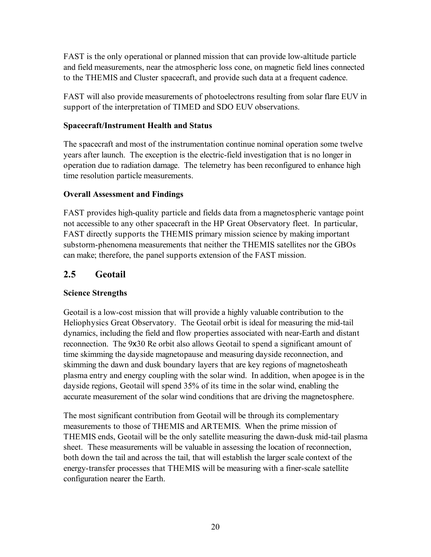FAST is the only operational or planned mission that can provide low-altitude particle and field measurements, near the atmospheric loss cone, on magnetic field lines connected to the THEMIS and Cluster spacecraft, and provide such data at a frequent cadence.

FAST will also provide measurements of photoelectrons resulting from solar flare EUV in support of the interpretation of TIMED and SDO EUV observations.

## **Spacecraft/Instrument Health and Status**

The spacecraft and most of the instrumentation continue nominal operation some twelve years after launch. The exception is the electric-field investigation that is no longer in operation due to radiation damage. The telemetry has been reconfigured to enhance high time resolution particle measurements.

## **Overall Assessment and Findings**

FAST provides high-quality particle and fields data from a magnetospheric vantage point not accessible to any other spacecraft in the HP Great Observatory fleet. In particular, FAST directly supports the THEMIS primary mission science by making important substorm-phenomena measurements that neither the THEMIS satellites nor the GBOs can make; therefore, the panel supports extension of the FAST mission.

## **2.5 Geotail**

## **Science Strengths**

Geotail is a low-cost mission that will provide a highly valuable contribution to the Heliophysics Great Observatory. The Geotail orbit is ideal for measuring the mid-tail dynamics, including the field and flow properties associated with near-Earth and distant reconnection. The 9x30 Re orbit also allows Geotail to spend a significant amount of time skimming the dayside magnetopause and measuring dayside reconnection, and skimming the dawn and dusk boundary layers that are key regions of magnetosheath plasma entry and energy coupling with the solar wind. In addition, when apogee is in the dayside regions, Geotail will spend 35% of its time in the solar wind, enabling the accurate measurement of the solar wind conditions that are driving the magnetosphere.

The most significant contribution from Geotail will be through its complementary measurements to those of THEMIS and ARTEMIS. When the prime mission of THEMIS ends, Geotail will be the only satellite measuring the dawn-dusk mid-tail plasma sheet. These measurements will be valuable in assessing the location of reconnection, both down the tail and across the tail, that will establish the larger scale context of the energy-transfer processes that THEMIS will be measuring with a finer-scale satellite configuration nearer the Earth.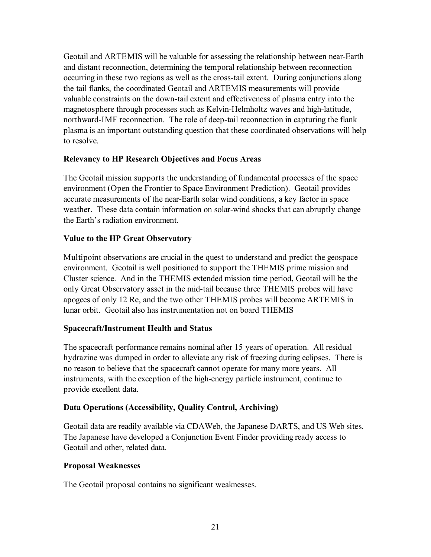Geotail and ARTEMIS will be valuable for assessing the relationship between near-Earth and distant reconnection, determining the temporal relationship between reconnection occurring in these two regions as well as the cross-tail extent. During conjunctions along the tail flanks, the coordinated Geotail and ARTEMIS measurements will provide valuable constraints on the down-tail extent and effectiveness of plasma entry into the magnetosphere through processes such as Kelvin-Helmholtz waves and high-latitude, northward-IMF reconnection. The role of deep-tail reconnection in capturing the flank plasma is an important outstanding question that these coordinated observations will help to resolve.

## **Relevancy to HP Research Objectives and Focus Areas**

The Geotail mission supports the understanding of fundamental processes of the space environment (Open the Frontier to Space Environment Prediction). Geotail provides accurate measurements of the near-Earth solar wind conditions, a key factor in space weather. These data contain information on solar-wind shocks that can abruptly change the Earth's radiation environment.

## **Value to the HP Great Observatory**

Multipoint observations are crucial in the quest to understand and predict the geospace environment. Geotail is well positioned to support the THEMIS prime mission and Cluster science. And in the THEMIS extended mission time period, Geotail will be the only Great Observatory asset in the mid-tail because three THEMIS probes will have apogees of only 12 Re, and the two other THEMIS probes will become ARTEMIS in lunar orbit. Geotail also has instrumentation not on board THEMIS

#### **Spacecraft/Instrument Health and Status**

The spacecraft performance remains nominal after 15 years of operation. All residual hydrazine was dumped in order to alleviate any risk of freezing during eclipses. There is no reason to believe that the spacecraft cannot operate for many more years. All instruments, with the exception of the high-energy particle instrument, continue to provide excellent data.

## **Data Operations (Accessibility, Quality Control, Archiving)**

Geotail data are readily available via CDAWeb, the Japanese DARTS, and US Web sites. The Japanese have developed a Conjunction Event Finder providing ready access to Geotail and other, related data.

#### **Proposal Weaknesses**

The Geotail proposal contains no significant weaknesses.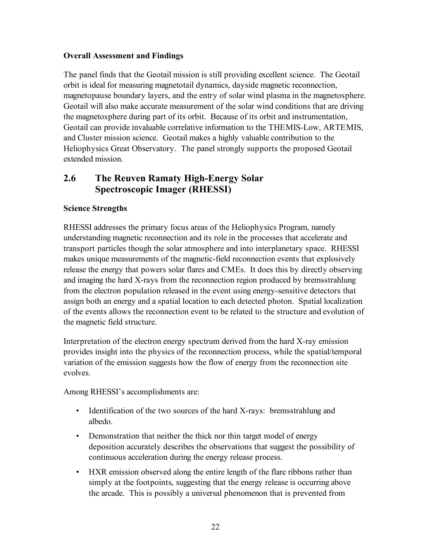#### **Overall Assessment and Findings**

The panel finds that the Geotail mission is still providing excellent science. The Geotail orbit is ideal for measuring magnetotail dynamics, dayside magnetic reconnection, magnetopause boundary layers, and the entry of solar wind plasma in the magnetosphere. Geotail will also make accurate measurement of the solar wind conditions that are driving the magnetosphere during part of its orbit. Because of its orbit and instrumentation, Geotail can provide invaluable correlative information to the THEMIS-Low, ARTEMIS, and Cluster mission science. Geotail makes a highly valuable contribution to the Heliophysics Great Observatory. The panel strongly supports the proposed Geotail extended mission.

## **2.6 The Reuven Ramaty High-Energy Solar Spectroscopic Imager (RHESSI)**

## **Science Strengths**

RHESSI addresses the primary focus areas of the Heliophysics Program, namely understanding magnetic reconnection and its role in the processes that accelerate and transport particles though the solar atmosphere and into interplanetary space. RHESSI makes unique measurements of the magnetic-field reconnection events that explosively release the energy that powers solar flares and CMEs. It does this by directly observing and imaging the hard X-rays from the reconnection region produced by bremsstrahlung from the electron population released in the event using energy-sensitive detectors that assign both an energy and a spatial location to each detected photon. Spatial localization of the events allows the reconnection event to be related to the structure and evolution of the magnetic field structure.

Interpretation of the electron energy spectrum derived from the hard X-ray emission provides insight into the physics of the reconnection process, while the spatial/temporal variation of the emission suggests how the flow of energy from the reconnection site evolves.

Among RHESSI's accomplishments are:

- Identification of the two sources of the hard X-rays: bremsstrahlung and albedo.
- Demonstration that neither the thick nor thin target model of energy deposition accurately describes the observations that suggest the possibility of continuous acceleration during the energy release process.
- HXR emission observed along the entire length of the flare ribbons rather than simply at the footpoints, suggesting that the energy release is occurring above the arcade. This is possibly a universal phenomenon that is prevented from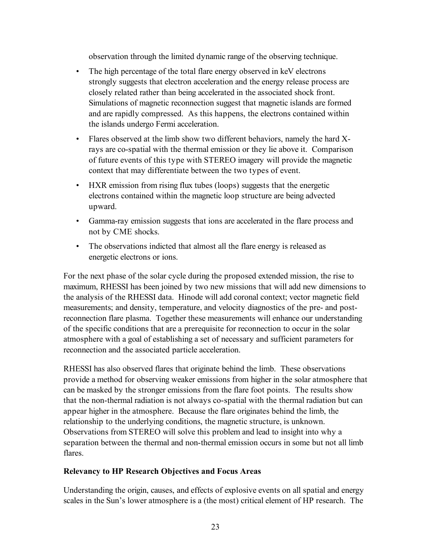observation through the limited dynamic range of the observing technique.

- The high percentage of the total flare energy observed in keV electrons strongly suggests that electron acceleration and the energy release process are closely related rather than being accelerated in the associated shock front. Simulations of magnetic reconnection suggest that magnetic islands are formed and are rapidly compressed. As this happens, the electrons contained within the islands undergo Fermi acceleration.
- Flares observed at the limb show two different behaviors, namely the hard Xrays are co-spatial with the thermal emission or they lie above it. Comparison of future events of this type with STEREO imagery will provide the magnetic context that may differentiate between the two types of event.
- HXR emission from rising flux tubes (loops) suggests that the energetic electrons contained within the magnetic loop structure are being advected upward.
- Gamma-ray emission suggests that ions are accelerated in the flare process and not by CME shocks.
- The observations indicted that almost all the flare energy is released as energetic electrons or ions.

For the next phase of the solar cycle during the proposed extended mission, the rise to maximum, RHESSI has been joined by two new missions that will add new dimensions to the analysis of the RHESSI data. Hinode will add coronal context; vector magnetic field measurements; and density, temperature, and velocity diagnostics of the pre- and postreconnection flare plasma. Together these measurements will enhance our understanding of the specific conditions that are a prerequisite for reconnection to occur in the solar atmosphere with a goal of establishing a set of necessary and sufficient parameters for reconnection and the associated particle acceleration.

RHESSI has also observed flares that originate behind the limb. These observations provide a method for observing weaker emissions from higher in the solar atmosphere that can be masked by the stronger emissions from the flare foot points. The results show that the non-thermal radiation is not always co-spatial with the thermal radiation but can appear higher in the atmosphere. Because the flare originates behind the limb, the relationship to the underlying conditions, the magnetic structure, is unknown. Observations from STEREO will solve this problem and lead to insight into why a separation between the thermal and non-thermal emission occurs in some but not all limb flares.

#### **Relevancy to HP Research Objectives and Focus Areas**

Understanding the origin, causes, and effects of explosive events on all spatial and energy scales in the Sun's lower atmosphere is a (the most) critical element of HP research. The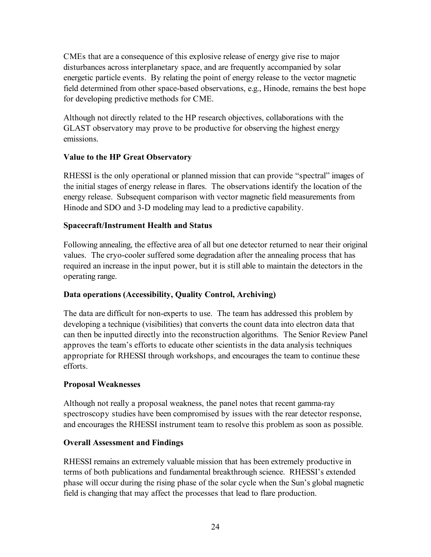CMEs that are a consequence of this explosive release of energy give rise to major disturbances across interplanetary space, and are frequently accompanied by solar energetic particle events. By relating the point of energy release to the vector magnetic field determined from other space-based observations, e.g., Hinode, remains the best hope for developing predictive methods for CME.

Although not directly related to the HP research objectives, collaborations with the GLAST observatory may prove to be productive for observing the highest energy emissions.

## **Value to the HP Great Observatory**

RHESSI is the only operational or planned mission that can provide "spectral" images of the initial stages of energy release in flares. The observations identify the location of the energy release. Subsequent comparison with vector magnetic field measurements from Hinode and SDO and 3-D modeling may lead to a predictive capability.

#### **Spacecraft/Instrument Health and Status**

Following annealing, the effective area of all but one detector returned to near their original values. The cryo-cooler suffered some degradation after the annealing process that has required an increase in the input power, but it is still able to maintain the detectors in the operating range.

#### **Data operations (Accessibility, Quality Control, Archiving)**

The data are difficult for non-experts to use. The team has addressed this problem by developing a technique (visibilities) that converts the count data into electron data that can then be inputted directly into the reconstruction algorithms. The Senior Review Panel approves the team's efforts to educate other scientists in the data analysis techniques appropriate for RHESSI through workshops, and encourages the team to continue these efforts.

#### **Proposal Weaknesses**

Although not really a proposal weakness, the panel notes that recent gamma-ray spectroscopy studies have been compromised by issues with the rear detector response, and encourages the RHESSI instrument team to resolve this problem as soon as possible.

#### **Overall Assessment and Findings**

RHESSI remains an extremely valuable mission that has been extremely productive in terms of both publications and fundamental breakthrough science. RHESSI's extended phase will occur during the rising phase of the solar cycle when the Sun's global magnetic field is changing that may affect the processes that lead to flare production.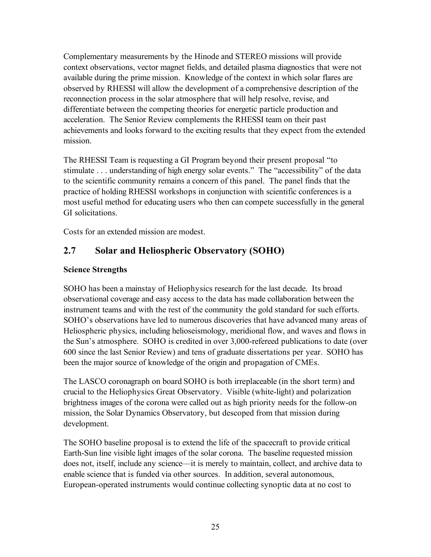Complementary measurements by the Hinode and STEREO missions will provide context observations, vector magnet fields, and detailed plasma diagnostics that were not available during the prime mission. Knowledge of the context in which solar flares are observed by RHESSI will allow the development of a comprehensive description of the reconnection process in the solar atmosphere that will help resolve, revise, and differentiate between the competing theories for energetic particle production and acceleration. The Senior Review complements the RHESSI team on their past achievements and looks forward to the exciting results that they expect from the extended mission.

The RHESSI Team is requesting a GI Program beyond their present proposal "to stimulate . . . understanding of high energy solar events." The "accessibility" of the data to the scientific community remains a concern of this panel. The panel finds that the practice of holding RHESSI workshops in conjunction with scientific conferences is a most useful method for educating users who then can compete successfully in the general GI solicitations.

Costs for an extended mission are modest.

# **2.7 Solar and Heliospheric Observatory (SOHO)**

## **Science Strengths**

SOHO has been a mainstay of Heliophysics research for the last decade. Its broad observational coverage and easy access to the data has made collaboration between the instrument teams and with the rest of the community the gold standard for such efforts. SOHO's observations have led to numerous discoveries that have advanced many areas of Heliospheric physics, including helioseismology, meridional flow, and waves and flows in the Sun's atmosphere. SOHO is credited in over 3,000-refereed publications to date (over 600 since the last Senior Review) and tens of graduate dissertations per year. SOHO has been the major source of knowledge of the origin and propagation of CMEs.

The LASCO coronagraph on board SOHO is both irreplaceable (in the short term) and crucial to the Heliophysics Great Observatory. Visible (white-light) and polarization brightness images of the corona were called out as high priority needs for the follow-on mission, the Solar Dynamics Observatory, but descoped from that mission during development.

The SOHO baseline proposal is to extend the life of the spacecraft to provide critical Earth-Sun line visible light images of the solar corona. The baseline requested mission does not, itself, include any science—it is merely to maintain, collect, and archive data to enable science that is funded via other sources. In addition, several autonomous, European-operated instruments would continue collecting synoptic data at no cost to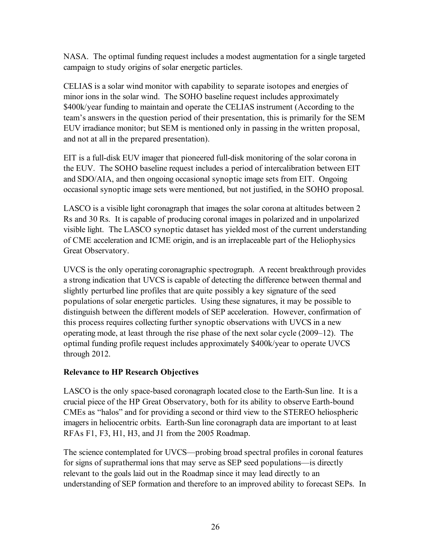NASA. The optimal funding request includes a modest augmentation for a single targeted campaign to study origins of solar energetic particles.

CELIAS is a solar wind monitor with capability to separate isotopes and energies of minor ions in the solar wind. The SOHO baseline request includes approximately \$400k/year funding to maintain and operate the CELIAS instrument (According to the team's answers in the question period of their presentation, this is primarily for the SEM EUV irradiance monitor; but SEM is mentioned only in passing in the written proposal, and not at all in the prepared presentation).

EIT is a full-disk EUV imager that pioneered full-disk monitoring of the solar corona in the EUV. The SOHO baseline request includes a period of intercalibration between EIT and SDO/AIA, and then ongoing occasional synoptic image sets from EIT. Ongoing occasional synoptic image sets were mentioned, but not justified, in the SOHO proposal.

LASCO is a visible light coronagraph that images the solar corona at altitudes between 2 Rs and 30 Rs. It is capable of producing coronal images in polarized and in unpolarized visible light. The LASCO synoptic dataset has yielded most of the current understanding of CME acceleration and ICME origin, and is an irreplaceable part of the Heliophysics Great Observatory.

UVCS is the only operating coronagraphic spectrograph. A recent breakthrough provides a strong indication that UVCS is capable of detecting the difference between thermal and slightly perturbed line profiles that are quite possibly a key signature of the seed populations of solar energetic particles. Using these signatures, it may be possible to distinguish between the different models of SEP acceleration. However, confirmation of this process requires collecting further synoptic observations with UVCS in a new operating mode, at least through the rise phase of the next solar cycle (2009–12). The optimal funding profile request includes approximately \$400k/year to operate UVCS through 2012.

#### **Relevance to HP Research Objectives**

LASCO is the only space-based coronagraph located close to the Earth-Sun line. It is a crucial piece of the HP Great Observatory, both for its ability to observe Earth-bound CMEs as "halos" and for providing a second or third view to the STEREO heliospheric imagers in heliocentric orbits. Earth-Sun line coronagraph data are important to at least RFAs F1, F3, H1, H3, and J1 from the 2005 Roadmap.

The science contemplated for UVCS—probing broad spectral profiles in coronal features for signs of suprathermal ions that may serve as SEP seed populations—is directly relevant to the goals laid out in the Roadmap since it may lead directly to an understanding of SEP formation and therefore to an improved ability to forecast SEPs. In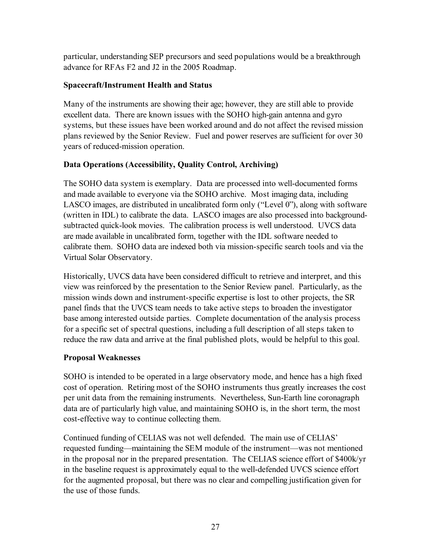particular, understanding SEP precursors and seed populations would be a breakthrough advance for RFAs F2 and J2 in the 2005 Roadmap.

## **Spacecraft/Instrument Health and Status**

Many of the instruments are showing their age; however, they are still able to provide excellent data. There are known issues with the SOHO high-gain antenna and gyro systems, but these issues have been worked around and do not affect the revised mission plans reviewed by the Senior Review. Fuel and power reserves are sufficient for over 30 years of reduced-mission operation.

## **Data Operations (Accessibility, Quality Control, Archiving)**

The SOHO data system is exemplary. Data are processed into well-documented forms and made available to everyone via the SOHO archive. Most imaging data, including LASCO images, are distributed in uncalibrated form only ("Level 0"), along with software (written in IDL) to calibrate the data. LASCO images are also processed into backgroundsubtracted quick-look movies. The calibration process is well understood. UVCS data are made available in uncalibrated form, together with the IDL software needed to calibrate them. SOHO data are indexed both via mission-specific search tools and via the Virtual Solar Observatory.

Historically, UVCS data have been considered difficult to retrieve and interpret, and this view was reinforced by the presentation to the Senior Review panel. Particularly, as the mission winds down and instrument-specific expertise is lost to other projects, the SR panel finds that the UVCS team needs to take active steps to broaden the investigator base among interested outside parties. Complete documentation of the analysis process for a specific set of spectral questions, including a full description of all steps taken to reduce the raw data and arrive at the final published plots, would be helpful to this goal.

#### **Proposal Weaknesses**

SOHO is intended to be operated in a large observatory mode, and hence has a high fixed cost of operation. Retiring most of the SOHO instruments thus greatly increases the cost per unit data from the remaining instruments. Nevertheless, Sun-Earth line coronagraph data are of particularly high value, and maintaining SOHO is, in the short term, the most cost-effective way to continue collecting them.

Continued funding of CELIAS was not well defended. The main use of CELIAS' requested funding—maintaining the SEM module of the instrument—was not mentioned in the proposal nor in the prepared presentation. The CELIAS science effort of \$400k/yr in the baseline request is approximately equal to the well-defended UVCS science effort for the augmented proposal, but there was no clear and compelling justification given for the use of those funds.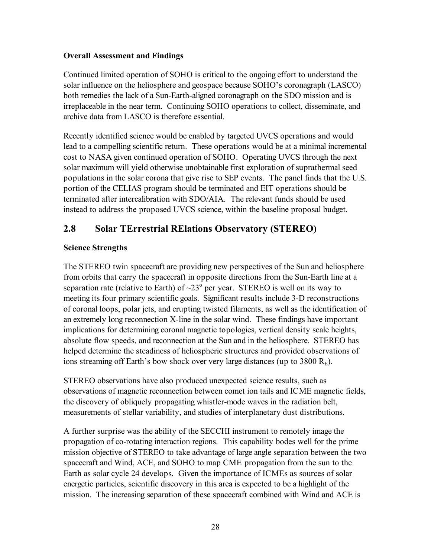#### **Overall Assessment and Findings**

Continued limited operation of SOHO is critical to the ongoing effort to understand the solar influence on the heliosphere and geospace because SOHO's coronagraph (LASCO) both remedies the lack of a Sun-Earth-aligned coronagraph on the SDO mission and is irreplaceable in the near term. Continuing SOHO operations to collect, disseminate, and archive data from LASCO is therefore essential.

Recently identified science would be enabled by targeted UVCS operations and would lead to a compelling scientific return. These operations would be at a minimal incremental cost to NASA given continued operation of SOHO. Operating UVCS through the next solar maximum will yield otherwise unobtainable first exploration of suprathermal seed populations in the solar corona that give rise to SEP events. The panel finds that the U.S. portion of the CELIAS program should be terminated and EIT operations should be terminated after intercalibration with SDO/AIA. The relevant funds should be used instead to address the proposed UVCS science, within the baseline proposal budget.

# **2.8 Solar TErrestrial RElations Observatory (STEREO)**

## **Science Strengths**

The STEREO twin spacecraft are providing new perspectives of the Sun and heliosphere from orbits that carry the spacecraft in opposite directions from the Sun-Earth line at a separation rate (relative to Earth) of  $\sim$ 23<sup>o</sup> per year. STEREO is well on its way to meeting its four primary scientific goals. Significant results include 3-D reconstructions of coronal loops, polar jets, and erupting twisted filaments, as well as the identification of an extremely long reconnection X-line in the solar wind. These findings have important implications for determining coronal magnetic topologies, vertical density scale heights, absolute flow speeds, and reconnection at the Sun and in the heliosphere. STEREO has helped determine the steadiness of heliospheric structures and provided observations of ions streaming off Earth's bow shock over very large distances (up to 3800  $R_E$ ).

STEREO observations have also produced unexpected science results, such as observations of magnetic reconnection between comet ion tails and ICME magnetic fields, the discovery of obliquely propagating whistler-mode waves in the radiation belt, measurements of stellar variability, and studies of interplanetary dust distributions.

A further surprise was the ability of the SECCHI instrument to remotely image the propagation of co-rotating interaction regions. This capability bodes well for the prime mission objective of STEREO to take advantage of large angle separation between the two spacecraft and Wind, ACE, and SOHO to map CME propagation from the sun to the Earth as solar cycle 24 develops. Given the importance of ICMEs as sources of solar energetic particles, scientific discovery in this area is expected to be a highlight of the mission. The increasing separation of these spacecraft combined with Wind and ACE is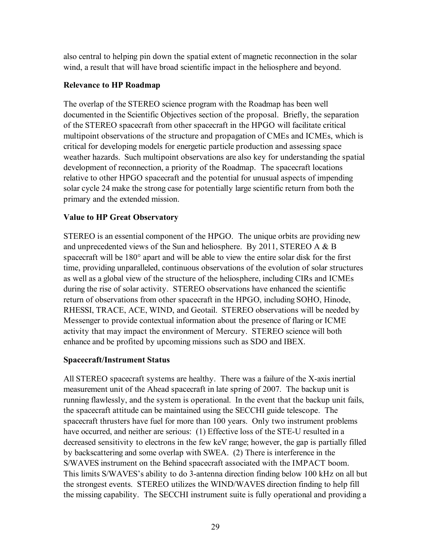also central to helping pin down the spatial extent of magnetic reconnection in the solar wind, a result that will have broad scientific impact in the heliosphere and beyond.

#### **Relevance to HP Roadmap**

The overlap of the STEREO science program with the Roadmap has been well documented in the Scientific Objectives section of the proposal. Briefly, the separation of the STEREO spacecraft from other spacecraft in the HPGO will facilitate critical multipoint observations of the structure and propagation of CMEs and ICMEs, which is critical for developing models for energetic particle production and assessing space weather hazards. Such multipoint observations are also key for understanding the spatial development of reconnection, a priority of the Roadmap. The spacecraft locations relative to other HPGO spacecraft and the potential for unusual aspects of impending solar cycle 24 make the strong case for potentially large scientific return from both the primary and the extended mission.

## **Value to HP Great Observatory**

STEREO is an essential component of the HPGO. The unique orbits are providing new and unprecedented views of the Sun and heliosphere. By 2011, STEREO A  $\&$  B spacecraft will be 180° apart and will be able to view the entire solar disk for the first time, providing unparalleled, continuous observations of the evolution of solar structures as well as a global view of the structure of the heliosphere, including CIRs and ICMEs during the rise of solar activity. STEREO observations have enhanced the scientific return of observations from other spacecraft in the HPGO, including SOHO, Hinode, RHESSI, TRACE, ACE, WIND, and Geotail. STEREO observations will be needed by Messenger to provide contextual information about the presence of flaring or ICME activity that may impact the environment of Mercury. STEREO science will both enhance and be profited by upcoming missions such as SDO and IBEX.

## **Spacecraft/Instrument Status**

All STEREO spacecraft systems are healthy. There was a failure of the X-axis inertial measurement unit of the Ahead spacecraft in late spring of 2007. The backup unit is running flawlessly, and the system is operational. In the event that the backup unit fails, the spacecraft attitude can be maintained using the SECCHI guide telescope. The spacecraft thrusters have fuel for more than 100 years. Only two instrument problems have occurred, and neither are serious: (1) Effective loss of the STE-U resulted in a decreased sensitivity to electrons in the few keV range; however, the gap is partially filled by backscattering and some overlap with SWEA. (2) There is interference in the S/WAVES instrument on the Behind spacecraft associated with the IMPACT boom. This limits S/WAVES's ability to do 3-antenna direction finding below 100 kHz on all but the strongest events. STEREO utilizes the WIND/WAVES direction finding to help fill the missing capability. The SECCHI instrument suite is fully operational and providing a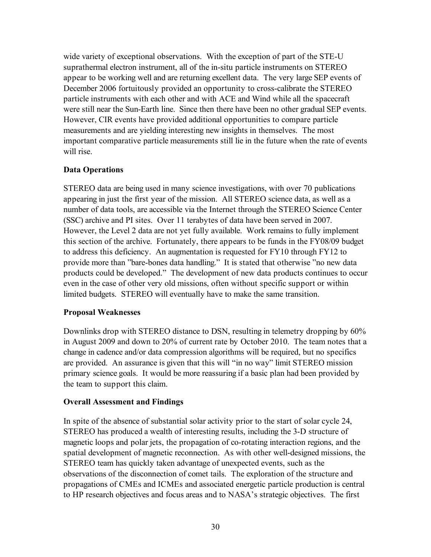wide variety of exceptional observations. With the exception of part of the STE-U suprathermal electron instrument, all of the in-situ particle instruments on STEREO appear to be working well and are returning excellent data. The very large SEP events of December 2006 fortuitously provided an opportunity to cross-calibrate the STEREO particle instruments with each other and with ACE and Wind while all the spacecraft were still near the Sun-Earth line. Since then there have been no other gradual SEP events. However, CIR events have provided additional opportunities to compare particle measurements and are yielding interesting new insights in themselves. The most important comparative particle measurements still lie in the future when the rate of events will rise.

## **Data Operations**

STEREO data are being used in many science investigations, with over 70 publications appearing in just the first year of the mission. All STEREO science data, as well as a number of data tools, are accessible via the Internet through the STEREO Science Center (SSC) archive and PI sites. Over 11 terabytes of data have been served in 2007. However, the Level 2 data are not yet fully available. Work remains to fully implement this section of the archive. Fortunately, there appears to be funds in the FY08/09 budget to address this deficiency. An augmentation is requested for FY10 through FY12 to provide more than "bare-bones data handling." It is stated that otherwise "no new data products could be developed." The development of new data products continues to occur even in the case of other very old missions, often without specific support or within limited budgets. STEREO will eventually have to make the same transition.

#### **Proposal Weaknesses**

Downlinks drop with STEREO distance to DSN, resulting in telemetry dropping by 60% in August 2009 and down to 20% of current rate by October 2010. The team notes that a change in cadence and/or data compression algorithms will be required, but no specifics are provided. An assurance is given that this will "in no way" limit STEREO mission primary science goals. It would be more reassuring if a basic plan had been provided by the team to support this claim.

#### **Overall Assessment and Findings**

In spite of the absence of substantial solar activity prior to the start of solar cycle 24, STEREO has produced a wealth of interesting results, including the 3-D structure of magnetic loops and polar jets, the propagation of co-rotating interaction regions, and the spatial development of magnetic reconnection. As with other well-designed missions, the STEREO team has quickly taken advantage of unexpected events, such as the observations of the disconnection of comet tails. The exploration of the structure and propagations of CMEs and ICMEs and associated energetic particle production is central to HP research objectives and focus areas and to NASA's strategic objectives. The first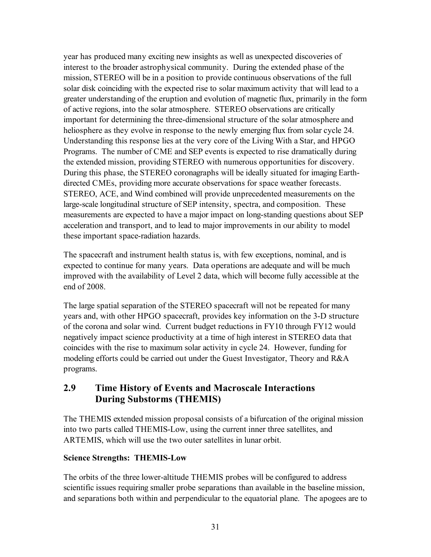year has produced many exciting new insights as well as unexpected discoveries of interest to the broader astrophysical community. During the extended phase of the mission, STEREO will be in a position to provide continuous observations of the full solar disk coinciding with the expected rise to solar maximum activity that will lead to a greater understanding of the eruption and evolution of magnetic flux, primarily in the form of active regions, into the solar atmosphere. STEREO observations are critically important for determining the three-dimensional structure of the solar atmosphere and heliosphere as they evolve in response to the newly emerging flux from solar cycle 24. Understanding this response lies at the very core of the Living With a Star, and HPGO Programs. The number of CME and SEP events is expected to rise dramatically during the extended mission, providing STEREO with numerous opportunities for discovery. During this phase, the STEREO coronagraphs will be ideally situated for imaging Earthdirected CMEs, providing more accurate observations for space weather forecasts. STEREO, ACE, and Wind combined will provide unprecedented measurements on the large-scale longitudinal structure of SEP intensity, spectra, and composition. These measurements are expected to have a major impact on long-standing questions about SEP acceleration and transport, and to lead to major improvements in our ability to model these important space-radiation hazards.

The spacecraft and instrument health status is, with few exceptions, nominal, and is expected to continue for many years. Data operations are adequate and will be much improved with the availability of Level 2 data, which will become fully accessible at the end of 2008.

The large spatial separation of the STEREO spacecraft will not be repeated for many years and, with other HPGO spacecraft, provides key information on the 3-D structure of the corona and solar wind. Current budget reductions in FY10 through FY12 would negatively impact science productivity at a time of high interest in STEREO data that coincides with the rise to maximum solar activity in cycle 24. However, funding for modeling efforts could be carried out under the Guest Investigator, Theory and R&A programs.

# **2.9 Time History of Events and Macroscale Interactions During Substorms (THEMIS)**

The THEMIS extended mission proposal consists of a bifurcation of the original mission into two parts called THEMIS-Low, using the current inner three satellites, and ARTEMIS, which will use the two outer satellites in lunar orbit.

## **Science Strengths: THEMIS-Low**

The orbits of the three lower-altitude THEMIS probes will be configured to address scientific issues requiring smaller probe separations than available in the baseline mission, and separations both within and perpendicular to the equatorial plane. The apogees are to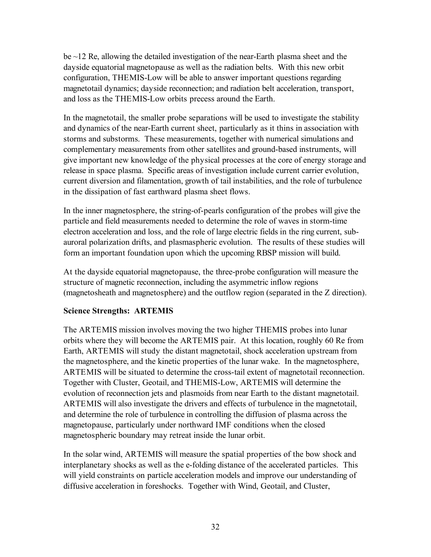be ~12 Re, allowing the detailed investigation of the near-Earth plasma sheet and the dayside equatorial magnetopause as well as the radiation belts. With this new orbit configuration, THEMIS-Low will be able to answer important questions regarding magnetotail dynamics; dayside reconnection; and radiation belt acceleration, transport, and loss as the THEMIS-Low orbits precess around the Earth.

In the magnetotail, the smaller probe separations will be used to investigate the stability and dynamics of the near-Earth current sheet, particularly as it thins in association with storms and substorms. These measurements, together with numerical simulations and complementary measurements from other satellites and ground-based instruments, will give important new knowledge of the physical processes at the core of energy storage and release in space plasma. Specific areas of investigation include current carrier evolution, current diversion and filamentation, growth of tail instabilities, and the role of turbulence in the dissipation of fast earthward plasma sheet flows.

In the inner magnetosphere, the string-of-pearls configuration of the probes will give the particle and field measurements needed to determine the role of waves in storm-time electron acceleration and loss, and the role of large electric fields in the ring current, subauroral polarization drifts, and plasmaspheric evolution. The results of these studies will form an important foundation upon which the upcoming RBSP mission will build.

At the dayside equatorial magnetopause, the three-probe configuration will measure the structure of magnetic reconnection, including the asymmetric inflow regions (magnetosheath and magnetosphere) and the outflow region (separated in the Z direction).

#### **Science Strengths: ARTEMIS**

The ARTEMIS mission involves moving the two higher THEMIS probes into lunar orbits where they will become the ARTEMIS pair. At this location, roughly 60 Re from Earth, ARTEMIS will study the distant magnetotail, shock acceleration upstream from the magnetosphere, and the kinetic properties of the lunar wake. In the magnetosphere, ARTEMIS will be situated to determine the cross-tail extent of magnetotail reconnection. Together with Cluster, Geotail, and THEMIS-Low, ARTEMIS will determine the evolution of reconnection jets and plasmoids from near Earth to the distant magnetotail. ARTEMIS will also investigate the drivers and effects of turbulence in the magnetotail, and determine the role of turbulence in controlling the diffusion of plasma across the magnetopause, particularly under northward IMF conditions when the closed magnetospheric boundary may retreat inside the lunar orbit.

In the solar wind, ARTEMIS will measure the spatial properties of the bow shock and interplanetary shocks as well as the e-folding distance of the accelerated particles. This will yield constraints on particle acceleration models and improve our understanding of diffusive acceleration in foreshocks. Together with Wind, Geotail, and Cluster,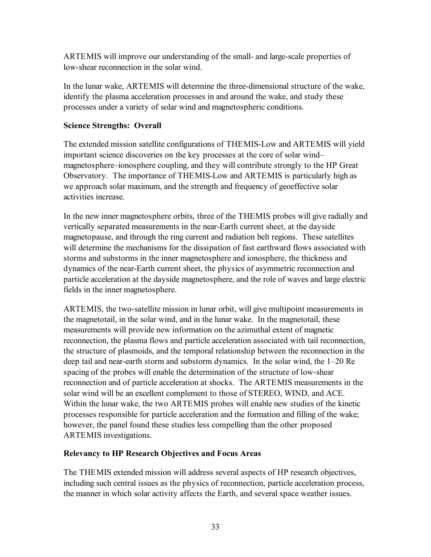ARTEMIS will improve our understanding of the small- and large-scale properties of low-shear reconnection in the solar wind.

In the lunar wake, ARTEMIS will determine the three-dimensional structure of the wake, identify the plasma acceleration processes in and around the wake, and study these processes under a variety of solar wind and magnetospheric conditions.

## **Science Strengths: Overall**

The extended mission satellite configurations of THEMIS-Low and ARTEMIS will yield important science discoveries on the key processes at the core of solar wind– magnetosphere–ionosphere coupling, and they will contribute strongly to the HP Great Observatory. The importance of THEMIS-Low and ARTEMIS is particularly high as we approach solar maximum, and the strength and frequency of geoeffective solar activities increase.

In the new inner magnetosphere orbits, three of the THEMIS probes will give radially and vertically separated measurements in the near-Earth current sheet, at the dayside magnetopause, and through the ring current and radiation belt regions. These satellites will determine the mechanisms for the dissipation of fast earthward flows associated with storms and substorms in the inner magnetosphere and ionosphere, the thickness and dynamics of the near-Earth current sheet, the physics of asymmetric reconnection and particle acceleration at the dayside magnetosphere, and the role of waves and large electric fields in the inner magnetosphere.

ARTEMIS, the two-satellite mission in lunar orbit, will give multipoint measurements in the magnetotail, in the solar wind, and in the lunar wake. In the magnetotail, these measurements will provide new information on the azimuthal extent of magnetic reconnection, the plasma flows and particle acceleration associated with tail reconnection, the structure of plasmoids, and the temporal relationship between the reconnection in the deep tail and near-earth storm and substorm dynamics. In the solar wind, the 1–20 Re spacing of the probes will enable the determination of the structure of low-shear reconnection and of particle acceleration at shocks. The ARTEMIS measurements in the solar wind will be an excellent complement to those of STEREO, WIND, and ACE. Within the lunar wake, the two ARTEMIS probes will enable new studies of the kinetic processes responsible for particle acceleration and the formation and filling of the wake; however, the panel found these studies less compelling than the other proposed ARTEMIS investigations.

## **Relevancy to HP Research Objectives and Focus Areas**

The THEMIS extended mission will address several aspects of HP research objectives, including such central issues as the physics of reconnection, particle acceleration process, the manner in which solar activity affects the Earth, and several space weather issues.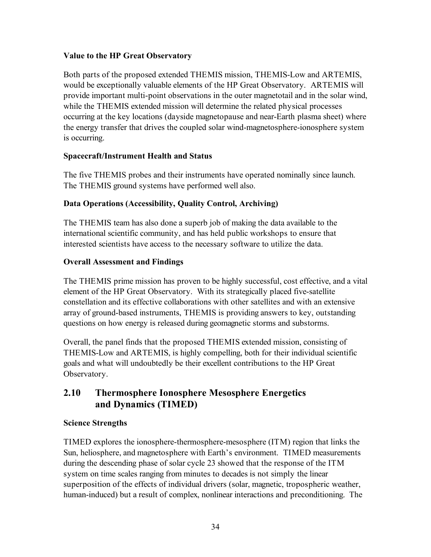## **Value to the HP Great Observatory**

Both parts of the proposed extended THEMIS mission, THEMIS-Low and ARTEMIS, would be exceptionally valuable elements of the HP Great Observatory. ARTEMIS will provide important multi-point observations in the outer magnetotail and in the solar wind, while the THEMIS extended mission will determine the related physical processes occurring at the key locations (dayside magnetopause and near-Earth plasma sheet) where the energy transfer that drives the coupled solar wind-magnetosphere-ionosphere system is occurring.

#### **Spacecraft/Instrument Health and Status**

The five THEMIS probes and their instruments have operated nominally since launch. The THEMIS ground systems have performed well also.

## **Data Operations (Accessibility, Quality Control, Archiving)**

The THEMIS team has also done a superb job of making the data available to the international scientific community, and has held public workshops to ensure that interested scientists have access to the necessary software to utilize the data.

#### **Overall Assessment and Findings**

The THEMIS prime mission has proven to be highly successful, cost effective, and a vital element of the HP Great Observatory. With its strategically placed five-satellite constellation and its effective collaborations with other satellites and with an extensive array of ground-based instruments, THEMIS is providing answers to key, outstanding questions on how energy is released during geomagnetic storms and substorms.

Overall, the panel finds that the proposed THEMIS extended mission, consisting of THEMIS-Low and ARTEMIS, is highly compelling, both for their individual scientific goals and what will undoubtedly be their excellent contributions to the HP Great Observatory.

## **2.10 Thermosphere Ionosphere Mesosphere Energetics and Dynamics (TIMED)**

#### **Science Strengths**

TIMED explores the ionosphere-thermosphere-mesosphere (ITM) region that links the Sun, heliosphere, and magnetosphere with Earth's environment. TIMED measurements during the descending phase of solar cycle 23 showed that the response of the ITM system on time scales ranging from minutes to decades is not simply the linear superposition of the effects of individual drivers (solar, magnetic, tropospheric weather, human-induced) but a result of complex, nonlinear interactions and preconditioning. The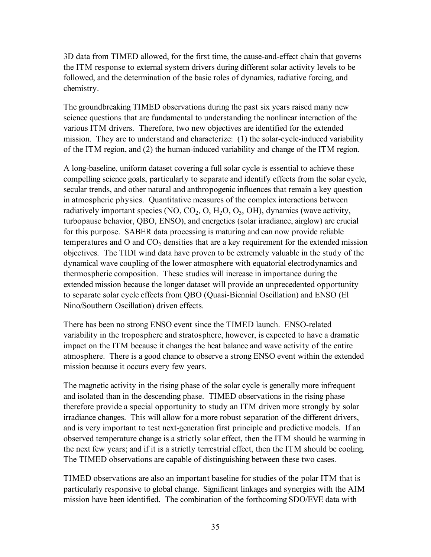3D data from TIMED allowed, for the first time, the cause-and-effect chain that governs the ITM response to external system drivers during different solar activity levels to be followed, and the determination of the basic roles of dynamics, radiative forcing, and chemistry.

The groundbreaking TIMED observations during the past six years raised many new science questions that are fundamental to understanding the nonlinear interaction of the various ITM drivers. Therefore, two new objectives are identified for the extended mission. They are to understand and characterize: (1) the solar-cycle-induced variability of the ITM region, and (2) the human-induced variability and change of the ITM region.

A long-baseline, uniform dataset covering a full solar cycle is essential to achieve these compelling science goals, particularly to separate and identify effects from the solar cycle, secular trends, and other natural and anthropogenic influences that remain a key question in atmospheric physics. Quantitative measures of the complex interactions between radiatively important species (NO, CO<sub>2</sub>, O, H<sub>2</sub>O, O<sub>3</sub>, OH), dynamics (wave activity, turbopause behavior, QBO, ENSO), and energetics (solar irradiance, airglow) are crucial for this purpose. SABER data processing is maturing and can now provide reliable temperatures and  $O$  and  $CO<sub>2</sub>$  densities that are a key requirement for the extended mission objectives. The TIDI wind data have proven to be extremely valuable in the study of the dynamical wave coupling of the lower atmosphere with equatorial electrodynamics and thermospheric composition. These studies will increase in importance during the extended mission because the longer dataset will provide an unprecedented opportunity to separate solar cycle effects from QBO (Quasi-Biennial Oscillation) and ENSO (El Nino/Southern Oscillation) driven effects.

There has been no strong ENSO event since the TIMED launch. ENSO-related variability in the troposphere and stratosphere, however, is expected to have a dramatic impact on the ITM because it changes the heat balance and wave activity of the entire atmosphere. There is a good chance to observe a strong ENSO event within the extended mission because it occurs every few years.

The magnetic activity in the rising phase of the solar cycle is generally more infrequent and isolated than in the descending phase. TIMED observations in the rising phase therefore provide a special opportunity to study an ITM driven more strongly by solar irradiance changes. This will allow for a more robust separation of the different drivers, and is very important to test next-generation first principle and predictive models. If an observed temperature change is a strictly solar effect, then the ITM should be warming in the next few years; and if it is a strictly terrestrial effect, then the ITM should be cooling. The TIMED observations are capable of distinguishing between these two cases.

TIMED observations are also an important baseline for studies of the polar ITM that is particularly responsive to global change. Significant linkages and synergies with the AIM mission have been identified. The combination of the forthcoming SDO/EVE data with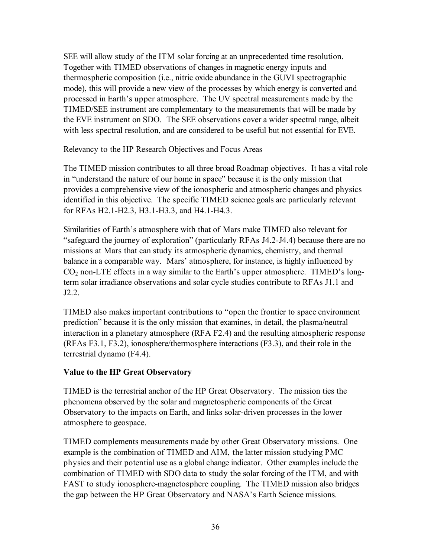SEE will allow study of the ITM solar forcing at an unprecedented time resolution. Together with TIMED observations of changes in magnetic energy inputs and thermospheric composition (i.e., nitric oxide abundance in the GUVI spectrographic mode), this will provide a new view of the processes by which energy is converted and processed in Earth's upper atmosphere. The UV spectral measurements made by the TIMED/SEE instrument are complementary to the measurements that will be made by the EVE instrument on SDO. The SEE observations cover a wider spectral range, albeit with less spectral resolution, and are considered to be useful but not essential for EVE.

Relevancy to the HP Research Objectives and Focus Areas

The TIMED mission contributes to all three broad Roadmap objectives. It has a vital role in "understand the nature of our home in space" because it is the only mission that provides a comprehensive view of the ionospheric and atmospheric changes and physics identified in this objective. The specific TIMED science goals are particularly relevant for RFAs H2.1-H2.3, H3.1-H3.3, and H4.1-H4.3.

Similarities of Earth's atmosphere with that of Mars make TIMED also relevant for "safeguard the journey of exploration" (particularly RFAs J4.2-J4.4) because there are no missions at Mars that can study its atmospheric dynamics, chemistry, and thermal balance in a comparable way. Mars' atmosphere, for instance, is highly influenced by  $CO<sub>2</sub>$  non-LTE effects in a way similar to the Earth's upper atmosphere. TIMED's longterm solar irradiance observations and solar cycle studies contribute to RFAs J1.1 and J2.2.

TIMED also makes important contributions to "open the frontier to space environment prediction" because it is the only mission that examines, in detail, the plasma/neutral interaction in a planetary atmosphere (RFA F2.4) and the resulting atmospheric response (RFAs F3.1, F3.2), ionosphere/thermosphere interactions (F3.3), and their role in the terrestrial dynamo (F4.4).

#### **Value to the HP Great Observatory**

TIMED is the terrestrial anchor of the HP Great Observatory. The mission ties the phenomena observed by the solar and magnetospheric components of the Great Observatory to the impacts on Earth, and links solar-driven processes in the lower atmosphere to geospace.

TIMED complements measurements made by other Great Observatory missions. One example is the combination of TIMED and AIM, the latter mission studying PMC physics and their potential use as a global change indicator. Other examples include the combination of TIMED with SDO data to study the solar forcing of the ITM, and with FAST to study ionosphere-magnetosphere coupling. The TIMED mission also bridges the gap between the HP Great Observatory and NASA's Earth Science missions.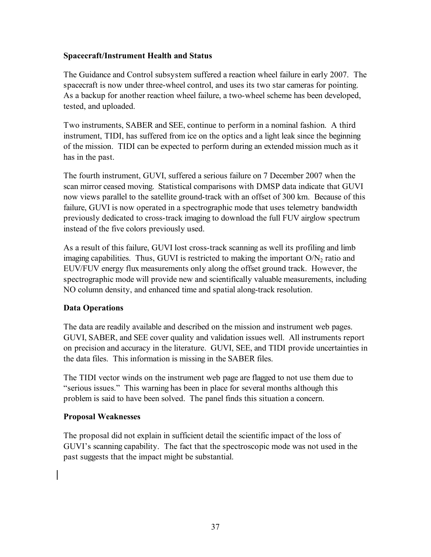#### **Spacecraft/Instrument Health and Status**

The Guidance and Control subsystem suffered a reaction wheel failure in early 2007. The spacecraft is now under three-wheel control, and uses its two star cameras for pointing. As a backup for another reaction wheel failure, a two-wheel scheme has been developed, tested, and uploaded.

Two instruments, SABER and SEE, continue to perform in a nominal fashion. A third instrument, TIDI, has suffered from ice on the optics and a light leak since the beginning of the mission. TIDI can be expected to perform during an extended mission much as it has in the past.

The fourth instrument, GUVI, suffered a serious failure on 7 December 2007 when the scan mirror ceased moving. Statistical comparisons with DMSP data indicate that GUVI now views parallel to the satellite ground-track with an offset of 300 km. Because of this failure, GUVI is now operated in a spectrographic mode that uses telemetry bandwidth previously dedicated to cross-track imaging to download the full FUV airglow spectrum instead of the five colors previously used.

As a result of this failure, GUVI lost cross-track scanning as well its profiling and limb imaging capabilities. Thus, GUVI is restricted to making the important  $O/N<sub>2</sub>$  ratio and EUV/FUV energy flux measurements only along the offset ground track. However, the spectrographic mode will provide new and scientifically valuable measurements, including NO column density, and enhanced time and spatial along-track resolution.

## **Data Operations**

The data are readily available and described on the mission and instrument web pages. GUVI, SABER, and SEE cover quality and validation issues well. All instruments report on precision and accuracy in the literature. GUVI, SEE, and TIDI provide uncertainties in the data files. This information is missing in the SABER files.

The TIDI vector winds on the instrument web page are flagged to not use them due to "serious issues." This warning has been in place for several months although this problem is said to have been solved. The panel finds this situation a concern.

#### **Proposal Weaknesses**

The proposal did not explain in sufficient detail the scientific impact of the loss of GUVI's scanning capability. The fact that the spectroscopic mode was not used in the past suggests that the impact might be substantial.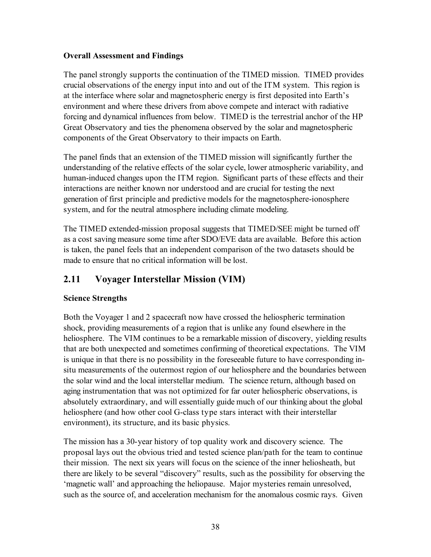#### **Overall Assessment and Findings**

The panel strongly supports the continuation of the TIMED mission. TIMED provides crucial observations of the energy input into and out of the ITM system. This region is at the interface where solar and magnetospheric energy is first deposited into Earth's environment and where these drivers from above compete and interact with radiative forcing and dynamical influences from below. TIMED is the terrestrial anchor of the HP Great Observatory and ties the phenomena observed by the solar and magnetospheric components of the Great Observatory to their impacts on Earth.

The panel finds that an extension of the TIMED mission will significantly further the understanding of the relative effects of the solar cycle, lower atmospheric variability, and human-induced changes upon the ITM region. Significant parts of these effects and their interactions are neither known nor understood and are crucial for testing the next generation of first principle and predictive models for the magnetosphere-ionosphere system, and for the neutral atmosphere including climate modeling.

The TIMED extended-mission proposal suggests that TIMED/SEE might be turned off as a cost saving measure some time after SDO/EVE data are available. Before this action is taken, the panel feels that an independent comparison of the two datasets should be made to ensure that no critical information will be lost.

# **2.11 Voyager Interstellar Mission (VIM)**

## **Science Strengths**

Both the Voyager 1 and 2 spacecraft now have crossed the heliospheric termination shock, providing measurements of a region that is unlike any found elsewhere in the heliosphere. The VIM continues to be a remarkable mission of discovery, yielding results that are both unexpected and sometimes confirming of theoretical expectations. The VIM is unique in that there is no possibility in the foreseeable future to have corresponding insitu measurements of the outermost region of our heliosphere and the boundaries between the solar wind and the local interstellar medium. The science return, although based on aging instrumentation that was not optimized for far outer heliospheric observations, is absolutely extraordinary, and will essentially guide much of our thinking about the global heliosphere (and how other cool G-class type stars interact with their interstellar environment), its structure, and its basic physics.

The mission has a 30-year history of top quality work and discovery science. The proposal lays out the obvious tried and tested science plan/path for the team to continue their mission. The next six years will focus on the science of the inner heliosheath, but there are likely to be several "discovery" results, such as the possibility for observing the 'magnetic wall' and approaching the heliopause. Major mysteries remain unresolved, such as the source of, and acceleration mechanism for the anomalous cosmic rays. Given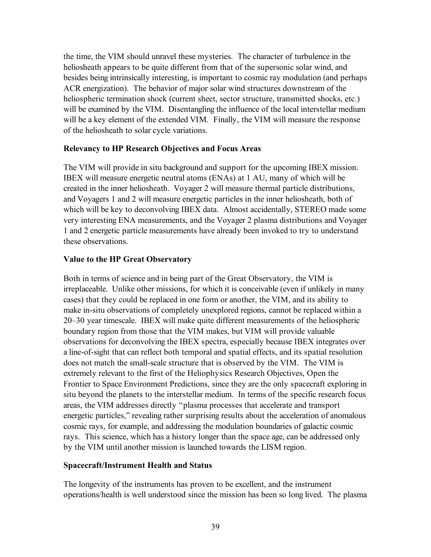the time, the VIM should unravel these mysteries. The character of turbulence in the heliosheath appears to be quite different from that of the supersonic solar wind, and besides being intrinsically interesting, is important to cosmic ray modulation (and perhaps ACR energization). The behavior of major solar wind structures downstream of the heliospheric termination shock (current sheet, sector structure, transmitted shocks, etc.) will be examined by the VIM. Disentangling the influence of the local interstellar medium will be a key element of the extended VIM. Finally, the VIM will measure the response of the heliosheath to solar cycle variations.

#### **Relevancy to HP Research Objectives and Focus Areas**

The VIM will provide in situ background and support for the upcoming IBEX mission. IBEX will measure energetic neutral atoms (ENAs) at 1 AU, many of which will be created in the inner heliosheath. Voyager 2 will measure thermal particle distributions, and Voyagers 1 and 2 will measure energetic particles in the inner heliosheath, both of which will be key to deconvolving IBEX data. Almost accidentally, STEREO made some very interesting ENA measurements, and the Voyager 2 plasma distributions and Voyager 1 and 2 energetic particle measurements have already been invoked to try to understand these observations.

#### **Value to the HP Great Observatory**

Both in terms of science and in being part of the Great Observatory, the VIM is irreplaceable. Unlike other missions, for which it is conceivable (even if unlikely in many cases) that they could be replaced in one form or another, the VIM, and its ability to make in-situ observations of completely unexplored regions, cannot be replaced within a 20–30 year timescale. IBEX will make quite different measurements of the heliospheric boundary region from those that the VIM makes, but VIM will provide valuable observations for deconvolving the IBEX spectra, especially because IBEX integrates over a line-of-sight that can reflect both temporal and spatial effects, and its spatial resolution does not match the small-scale structure that is observed by the VIM. The VIM is extremely relevant to the first of the Heliophysics Research Objectives, Open the Frontier to Space Environment Predictions, since they are the only spacecraft exploring in situ beyond the planets to the interstellar medium. In terms of the specific research focus areas, the VIM addresses directly "plasma processes that accelerate and transport energetic particles," revealing rather surprising results about the acceleration of anomalous cosmic rays, for example, and addressing the modulation boundaries of galactic cosmic rays. This science, which has a history longer than the space age, can be addressed only by the VIM until another mission is launched towards the LISM region.

#### **Spacecraft/Instrument Health and Status**

The longevity of the instruments has proven to be excellent, and the instrument operations/health is well understood since the mission has been so long lived. The plasma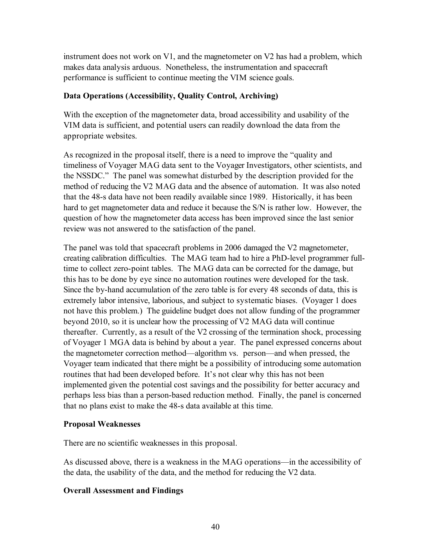instrument does not work on V1, and the magnetometer on V2 has had a problem, which makes data analysis arduous. Nonetheless, the instrumentation and spacecraft performance is sufficient to continue meeting the VIM science goals.

## **Data Operations (Accessibility, Quality Control, Archiving)**

With the exception of the magnetometer data, broad accessibility and usability of the VIM data is sufficient, and potential users can readily download the data from the appropriate websites.

As recognized in the proposal itself, there is a need to improve the "quality and timeliness of Voyager MAG data sent to the Voyager Investigators, other scientists, and the NSSDC." The panel was somewhat disturbed by the description provided for the method of reducing the V2 MAG data and the absence of automation. It was also noted that the 48-s data have not been readily available since 1989. Historically, it has been hard to get magnetometer data and reduce it because the S/N is rather low. However, the question of how the magnetometer data access has been improved since the last senior review was not answered to the satisfaction of the panel.

The panel was told that spacecraft problems in 2006 damaged the V2 magnetometer, creating calibration difficulties. The MAG team had to hire a PhD-level programmer fulltime to collect zero-point tables. The MAG data can be corrected for the damage, but this has to be done by eye since no automation routines were developed for the task. Since the by-hand accumulation of the zero table is for every 48 seconds of data, this is extremely labor intensive, laborious, and subject to systematic biases. (Voyager 1 does not have this problem.) The guideline budget does not allow funding of the programmer beyond 2010, so it is unclear how the processing of V2 MAG data will continue thereafter. Currently, as a result of the V2 crossing of the termination shock, processing of Voyager 1 MGA data is behind by about a year. The panel expressed concerns about the magnetometer correction method—algorithm vs. person—and when pressed, the Voyager team indicated that there might be a possibility of introducing some automation routines that had been developed before. It's not clear why this has not been implemented given the potential cost savings and the possibility for better accuracy and perhaps less bias than a person-based reduction method. Finally, the panel is concerned that no plans exist to make the 48-s data available at this time.

#### **Proposal Weaknesses**

There are no scientific weaknesses in this proposal.

As discussed above, there is a weakness in the MAG operations—in the accessibility of the data, the usability of the data, and the method for reducing the V2 data.

## **Overall Assessment and Findings**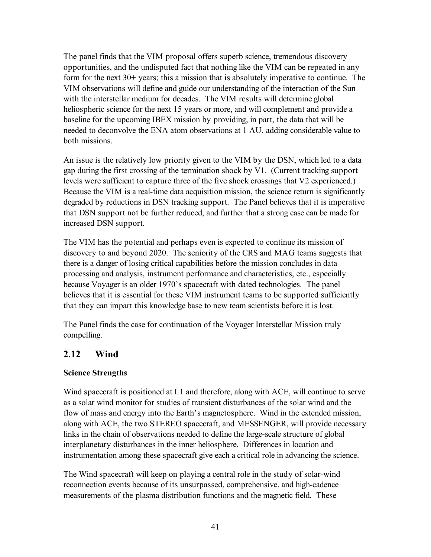The panel finds that the VIM proposal offers superb science, tremendous discovery opportunities, and the undisputed fact that nothing like the VIM can be repeated in any form for the next 30+ years; this a mission that is absolutely imperative to continue. The VIM observations will define and guide our understanding of the interaction of the Sun with the interstellar medium for decades. The VIM results will determine global heliospheric science for the next 15 years or more, and will complement and provide a baseline for the upcoming IBEX mission by providing, in part, the data that will be needed to deconvolve the ENA atom observations at 1 AU, adding considerable value to both missions.

An issue is the relatively low priority given to the VIM by the DSN, which led to a data gap during the first crossing of the termination shock by V1. (Current tracking support levels were sufficient to capture three of the five shock crossings that V2 experienced.) Because the VIM is a real-time data acquisition mission, the science return is significantly degraded by reductions in DSN tracking support. The Panel believes that it is imperative that DSN support not be further reduced, and further that a strong case can be made for increased DSN support.

The VIM has the potential and perhaps even is expected to continue its mission of discovery to and beyond 2020. The seniority of the CRS and MAG teams suggests that there is a danger of losing critical capabilities before the mission concludes in data processing and analysis, instrument performance and characteristics, etc., especially because Voyager is an older 1970's spacecraft with dated technologies. The panel believes that it is essential for these VIM instrument teams to be supported sufficiently that they can impart this knowledge base to new team scientists before it is lost.

The Panel finds the case for continuation of the Voyager Interstellar Mission truly compelling.

## **2.12 Wind**

## **Science Strengths**

Wind spacecraft is positioned at L1 and therefore, along with ACE, will continue to serve as a solar wind monitor for studies of transient disturbances of the solar wind and the flow of mass and energy into the Earth's magnetosphere. Wind in the extended mission, along with ACE, the two STEREO spacecraft, and MESSENGER, will provide necessary links in the chain of observations needed to define the large-scale structure of global interplanetary disturbances in the inner heliosphere. Differences in location and instrumentation among these spacecraft give each a critical role in advancing the science.

The Wind spacecraft will keep on playing a central role in the study of solar-wind reconnection events because of its unsurpassed, comprehensive, and high-cadence measurements of the plasma distribution functions and the magnetic field. These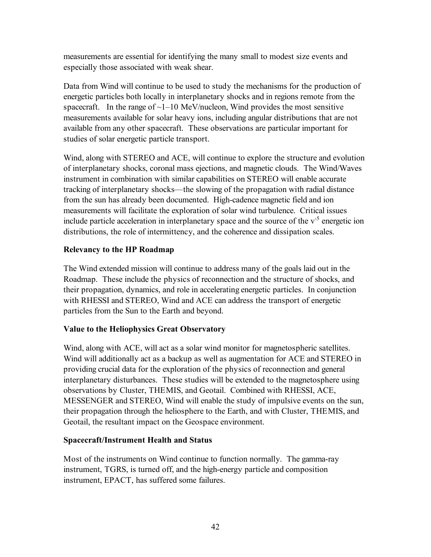measurements are essential for identifying the many small to modest size events and especially those associated with weak shear.

Data from Wind will continue to be used to study the mechanisms for the production of energetic particles both locally in interplanetary shocks and in regions remote from the spacecraft. In the range of  $\sim$ 1–10 MeV/nucleon, Wind provides the most sensitive measurements available for solar heavy ions, including angular distributions that are not available from any other spacecraft. These observations are particular important for studies of solar energetic particle transport.

Wind, along with STEREO and ACE, will continue to explore the structure and evolution of interplanetary shocks, coronal mass ejections, and magnetic clouds. The Wind/Waves instrument in combination with similar capabilities on STEREO will enable accurate tracking of interplanetary shocks—the slowing of the propagation with radial distance from the sun has already been documented. High-cadence magnetic field and ion measurements will facilitate the exploration of solar wind turbulence. Critical issues include particle acceleration in interplanetary space and the source of the  $v<sup>-5</sup>$  energetic ion distributions, the role of intermittency, and the coherence and dissipation scales.

## **Relevancy to the HP Roadmap**

The Wind extended mission will continue to address many of the goals laid out in the Roadmap. These include the physics of reconnection and the structure of shocks, and their propagation, dynamics, and role in accelerating energetic particles. In conjunction with RHESSI and STEREO, Wind and ACE can address the transport of energetic particles from the Sun to the Earth and beyond.

## **Value to the Heliophysics Great Observatory**

Wind, along with ACE, will act as a solar wind monitor for magnetospheric satellites. Wind will additionally act as a backup as well as augmentation for ACE and STEREO in providing crucial data for the exploration of the physics of reconnection and general interplanetary disturbances. These studies will be extended to the magnetosphere using observations by Cluster, THEMIS, and Geotail. Combined with RHESSI, ACE, MESSENGER and STEREO, Wind will enable the study of impulsive events on the sun, their propagation through the heliosphere to the Earth, and with Cluster, THEMIS, and Geotail, the resultant impact on the Geospace environment.

#### **Spacecraft/Instrument Health and Status**

Most of the instruments on Wind continue to function normally. The gamma-ray instrument, TGRS, is turned off, and the high-energy particle and composition instrument, EPACT, has suffered some failures.